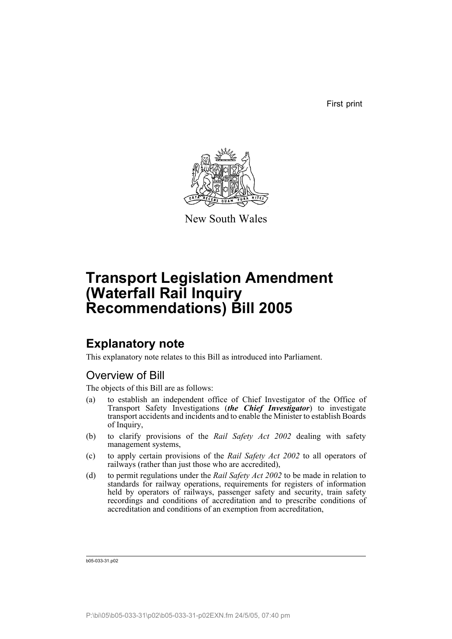First print



New South Wales

# **Transport Legislation Amendment (Waterfall Rail Inquiry Recommendations) Bill 2005**

## **Explanatory note**

This explanatory note relates to this Bill as introduced into Parliament.

## Overview of Bill

The objects of this Bill are as follows:

- (a) to establish an independent office of Chief Investigator of the Office of Transport Safety Investigations (*the Chief Investigator*) to investigate transport accidents and incidents and to enable the Minister to establish Boards of Inquiry,
- (b) to clarify provisions of the *Rail Safety Act 2002* dealing with safety management systems,
- (c) to apply certain provisions of the *Rail Safety Act 2002* to all operators of railways (rather than just those who are accredited),
- (d) to permit regulations under the *Rail Safety Act 2002* to be made in relation to standards for railway operations, requirements for registers of information held by operators of railways, passenger safety and security, train safety recordings and conditions of accreditation and to prescribe conditions of accreditation and conditions of an exemption from accreditation,

b05-033-31.p02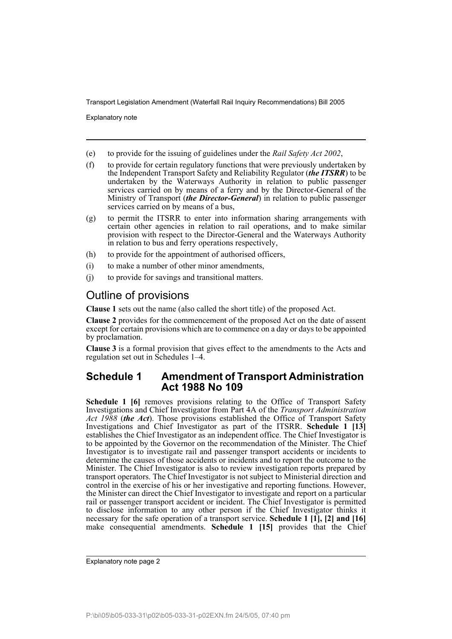Explanatory note

- (e) to provide for the issuing of guidelines under the *Rail Safety Act 2002*,
- (f) to provide for certain regulatory functions that were previously undertaken by the Independent Transport Safety and Reliability Regulator (*the ITSRR*) to be undertaken by the Waterways Authority in relation to public passenger services carried on by means of a ferry and by the Director-General of the Ministry of Transport (*the Director-General*) in relation to public passenger services carried on by means of a bus,
- (g) to permit the ITSRR to enter into information sharing arrangements with certain other agencies in relation to rail operations, and to make similar provision with respect to the Director-General and the Waterways Authority in relation to bus and ferry operations respectively,
- (h) to provide for the appointment of authorised officers,
- (i) to make a number of other minor amendments,
- (j) to provide for savings and transitional matters.

## Outline of provisions

**Clause 1** sets out the name (also called the short title) of the proposed Act.

**Clause 2** provides for the commencement of the proposed Act on the date of assent except for certain provisions which are to commence on a day or days to be appointed by proclamation.

**Clause 3** is a formal provision that gives effect to the amendments to the Acts and regulation set out in Schedules 1–4.

## **Schedule 1 Amendment of Transport Administration Act 1988 No 109**

**Schedule 1 [6]** removes provisions relating to the Office of Transport Safety Investigations and Chief Investigator from Part 4A of the *Transport Administration Act 1988* (*the Act*). Those provisions established the Office of Transport Safety Investigations and Chief Investigator as part of the ITSRR. **Schedule 1 [13]** establishes the Chief Investigator as an independent office. The Chief Investigator is to be appointed by the Governor on the recommendation of the Minister. The Chief Investigator is to investigate rail and passenger transport accidents or incidents to determine the causes of those accidents or incidents and to report the outcome to the Minister. The Chief Investigator is also to review investigation reports prepared by transport operators. The Chief Investigator is not subject to Ministerial direction and control in the exercise of his or her investigative and reporting functions. However, the Minister can direct the Chief Investigator to investigate and report on a particular rail or passenger transport accident or incident. The Chief Investigator is permitted to disclose information to any other person if the Chief Investigator thinks it necessary for the safe operation of a transport service. **Schedule 1 [1], [2] and [16]** make consequential amendments. **Schedule 1 [15]** provides that the Chief

Explanatory note page 2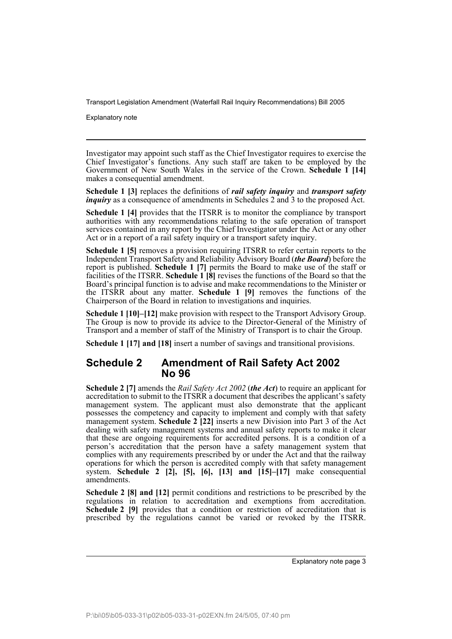Explanatory note

Investigator may appoint such staff as the Chief Investigator requires to exercise the Chief Investigator's functions. Any such staff are taken to be employed by the Government of New South Wales in the service of the Crown. **Schedule 1 [14]** makes a consequential amendment.

**Schedule 1 [3]** replaces the definitions of *rail safety inquiry* and *transport safety inquiry* as a consequence of amendments in Schedules 2 and 3 to the proposed Act.

**Schedule 1 [4]** provides that the ITSRR is to monitor the compliance by transport authorities with any recommendations relating to the safe operation of transport services contained in any report by the Chief Investigator under the Act or any other Act or in a report of a rail safety inquiry or a transport safety inquiry.

**Schedule 1 [5]** removes a provision requiring ITSRR to refer certain reports to the Independent Transport Safety and Reliability Advisory Board (*the Board*) before the report is published. **Schedule 1 [7]** permits the Board to make use of the staff or facilities of the ITSRR. **Schedule 1 [8]** revises the functions of the Board so that the Board's principal function is to advise and make recommendations to the Minister or the ITSRR about any matter. **Schedule 1 [9]** removes the functions of the Chairperson of the Board in relation to investigations and inquiries.

**Schedule 1 [10]–[12]** make provision with respect to the Transport Advisory Group. The Group is now to provide its advice to the Director-General of the Ministry of Transport and a member of staff of the Ministry of Transport is to chair the Group.

**Schedule 1 [17] and [18]** insert a number of savings and transitional provisions.

## **Schedule 2 Amendment of Rail Safety Act 2002 No 96**

**Schedule 2 [7]** amends the *Rail Safety Act 2002* (*the Act*) to require an applicant for accreditation to submit to the ITSRR a document that describes the applicant's safety management system. The applicant must also demonstrate that the applicant possesses the competency and capacity to implement and comply with that safety management system. **Schedule 2 [22]** inserts a new Division into Part 3 of the Act dealing with safety management systems and annual safety reports to make it clear that these are ongoing requirements for accredited persons. It is a condition of a person's accreditation that the person have a safety management system that complies with any requirements prescribed by or under the Act and that the railway operations for which the person is accredited comply with that safety management system. **Schedule 2**  $\overline{2}$ , [5], [6], [13] and  $\overline{15}$ [17] make consequential amendments.

**Schedule 2 [8] and [12]** permit conditions and restrictions to be prescribed by the regulations in relation to accreditation and exemptions from accreditation. **Schedule 2 [9]** provides that a condition or restriction of accreditation that is prescribed by the regulations cannot be varied or revoked by the ITSRR.

Explanatory note page 3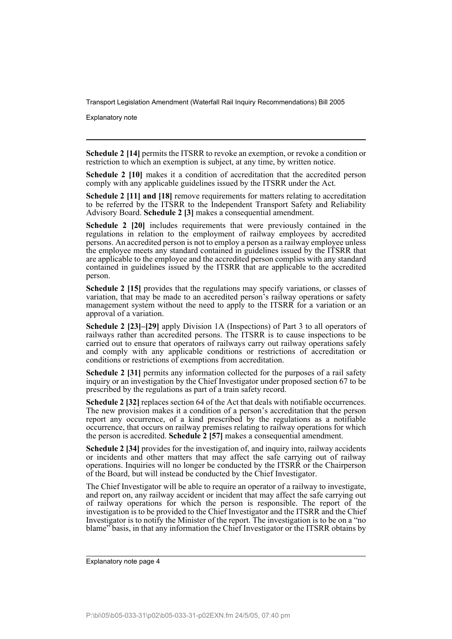Explanatory note

**Schedule 2 [14]** permits the ITSRR to revoke an exemption, or revoke a condition or restriction to which an exemption is subject, at any time, by written notice.

**Schedule 2 [10]** makes it a condition of accreditation that the accredited person comply with any applicable guidelines issued by the ITSRR under the Act.

**Schedule 2 [11] and [18]** remove requirements for matters relating to accreditation to be referred by the ITSRR to the Independent Transport Safety and Reliability Advisory Board. **Schedule 2 [3]** makes a consequential amendment.

**Schedule 2 [20]** includes requirements that were previously contained in the regulations in relation to the employment of railway employees by accredited persons. An accredited person is not to employ a person as a railway employee unless the employee meets any standard contained in guidelines issued by the ITSRR that are applicable to the employee and the accredited person complies with any standard contained in guidelines issued by the ITSRR that are applicable to the accredited person.

**Schedule 2 [15]** provides that the regulations may specify variations, or classes of variation, that may be made to an accredited person's railway operations or safety management system without the need to apply to the ITSRR for a variation or an approval of a variation.

**Schedule 2 [23]–[29]** apply Division 1A (Inspections) of Part 3 to all operators of railways rather than accredited persons. The ITSRR is to cause inspections to be carried out to ensure that operators of railways carry out railway operations safely and comply with any applicable conditions or restrictions of accreditation or conditions or restrictions of exemptions from accreditation.

**Schedule 2 [31]** permits any information collected for the purposes of a rail safety inquiry or an investigation by the Chief Investigator under proposed section 67 to be prescribed by the regulations as part of a train safety record.

**Schedule 2 [32]** replaces section 64 of the Act that deals with notifiable occurrences. The new provision makes it a condition of a person's accreditation that the person report any occurrence, of a kind prescribed by the regulations as a notifiable occurrence, that occurs on railway premises relating to railway operations for which the person is accredited. **Schedule 2 [57]** makes a consequential amendment.

**Schedule 2 [34]** provides for the investigation of, and inquiry into, railway accidents or incidents and other matters that may affect the safe carrying out of railway operations. Inquiries will no longer be conducted by the ITSRR or the Chairperson of the Board, but will instead be conducted by the Chief Investigator.

The Chief Investigator will be able to require an operator of a railway to investigate, and report on, any railway accident or incident that may affect the safe carrying out of railway operations for which the person is responsible. The report of the investigation is to be provided to the Chief Investigator and the ITSRR and the Chief Investigator is to notify the Minister of the report. The investigation is to be on a "no blame" basis, in that any information the Chief Investigator or the ITSRR obtains by

Explanatory note page 4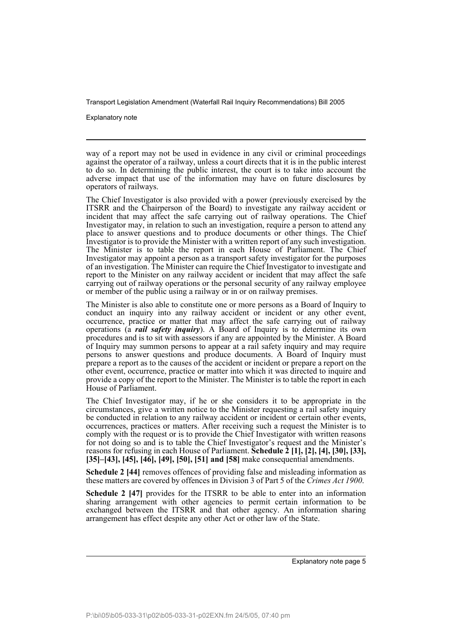Explanatory note

way of a report may not be used in evidence in any civil or criminal proceedings against the operator of a railway, unless a court directs that it is in the public interest to do so. In determining the public interest, the court is to take into account the adverse impact that use of the information may have on future disclosures by operators of railways.

The Chief Investigator is also provided with a power (previously exercised by the ITSRR and the Chairperson of the Board) to investigate any railway accident or incident that may affect the safe carrying out of railway operations. The Chief Investigator may, in relation to such an investigation, require a person to attend any place to answer questions and to produce documents or other things. The Chief Investigator is to provide the Minister with a written report of any such investigation. The Minister is to table the report in each House of Parliament. The Chief Investigator may appoint a person as a transport safety investigator for the purposes of an investigation. The Minister can require the Chief Investigator to investigate and report to the Minister on any railway accident or incident that may affect the safe carrying out of railway operations or the personal security of any railway employee or member of the public using a railway or in or on railway premises.

The Minister is also able to constitute one or more persons as a Board of Inquiry to conduct an inquiry into any railway accident or incident or any other event, occurrence, practice or matter that may affect the safe carrying out of railway operations (a *rail safety inquiry*). A Board of Inquiry is to determine its own procedures and is to sit with assessors if any are appointed by the Minister. A Board of Inquiry may summon persons to appear at a rail safety inquiry and may require persons to answer questions and produce documents. A Board of Inquiry must prepare a report as to the causes of the accident or incident or prepare a report on the other event, occurrence, practice or matter into which it was directed to inquire and provide a copy of the report to the Minister. The Minister is to table the report in each House of Parliament.

The Chief Investigator may, if he or she considers it to be appropriate in the circumstances, give a written notice to the Minister requesting a rail safety inquiry be conducted in relation to any railway accident or incident or certain other events, occurrences, practices or matters. After receiving such a request the Minister is to comply with the request or is to provide the Chief Investigator with written reasons for not doing so and is to table the Chief Investigator's request and the Minister's reasons for refusing in each House of Parliament. **Schedule 2 [1], [2], [4], [30], [33], [35]–[43], [45], [46], [49], [50], [51] and [58]** make consequential amendments.

**Schedule 2 [44]** removes offences of providing false and misleading information as these matters are covered by offences in Division 3 of Part 5 of the *Crimes Act 1900*.

**Schedule 2 [47]** provides for the ITSRR to be able to enter into an information sharing arrangement with other agencies to permit certain information to be exchanged between the ITSRR and that other agency. An information sharing arrangement has effect despite any other Act or other law of the State.

Explanatory note page 5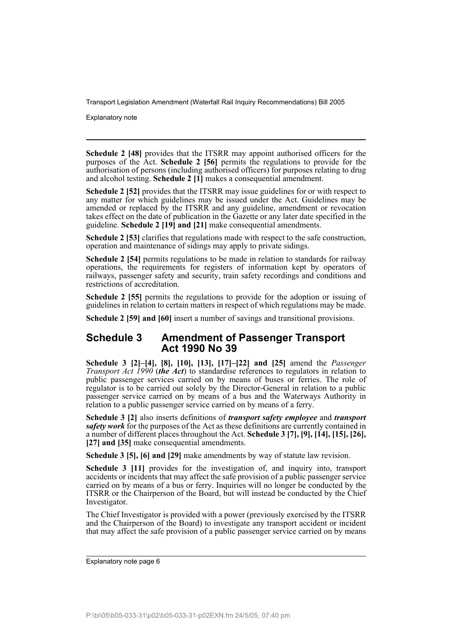Explanatory note

**Schedule 2 [48]** provides that the ITSRR may appoint authorised officers for the purposes of the Act. **Schedule 2 [56]** permits the regulations to provide for the authorisation of persons (including authorised officers) for purposes relating to drug and alcohol testing. **Schedule 2 [1]** makes a consequential amendment.

**Schedule 2 [52]** provides that the ITSRR may issue guidelines for or with respect to any matter for which guidelines may be issued under the Act. Guidelines may be amended or replaced by the ITSRR and any guideline, amendment or revocation takes effect on the date of publication in the Gazette or any later date specified in the guideline. **Schedule 2 [19] and [21]** make consequential amendments.

**Schedule 2 [53]** clarifies that regulations made with respect to the safe construction, operation and maintenance of sidings may apply to private sidings.

**Schedule 2 [54]** permits regulations to be made in relation to standards for railway operations, the requirements for registers of information kept by operators of railways, passenger safety and security, train safety recordings and conditions and restrictions of accreditation.

**Schedule 2 [55]** permits the regulations to provide for the adoption or issuing of guidelines in relation to certain matters in respect of which regulations may be made.

**Schedule 2 [59] and [60]** insert a number of savings and transitional provisions.

## **Schedule 3 Amendment of Passenger Transport Act 1990 No 39**

**Schedule 3 [2]–[4], [8], [10], [13], [17]–[22] and [25]** amend the *Passenger Transport Act 1990* (*the Act*) to standardise references to regulators in relation to public passenger services carried on by means of buses or ferries. The role of regulator is to be carried out solely by the Director-General in relation to a public passenger service carried on by means of a bus and the Waterways Authority in relation to a public passenger service carried on by means of a ferry.

**Schedule 3 [2]** also inserts definitions of *transport safety employee* and *transport safety work* for the purposes of the Act as these definitions are currently contained in a number of different places throughout the Act. **Schedule 3 [7], [9], [14], [15], [26], [27] and [35]** make consequential amendments.

**Schedule 3 [5], [6] and [29]** make amendments by way of statute law revision.

**Schedule 3 [11]** provides for the investigation of, and inquiry into, transport accidents or incidents that may affect the safe provision of a public passenger service carried on by means of a bus or ferry. Inquiries will no longer be conducted by the ITSRR or the Chairperson of the Board, but will instead be conducted by the Chief Investigator.

The Chief Investigator is provided with a power (previously exercised by the ITSRR and the Chairperson of the Board) to investigate any transport accident or incident that may affect the safe provision of a public passenger service carried on by means

Explanatory note page 6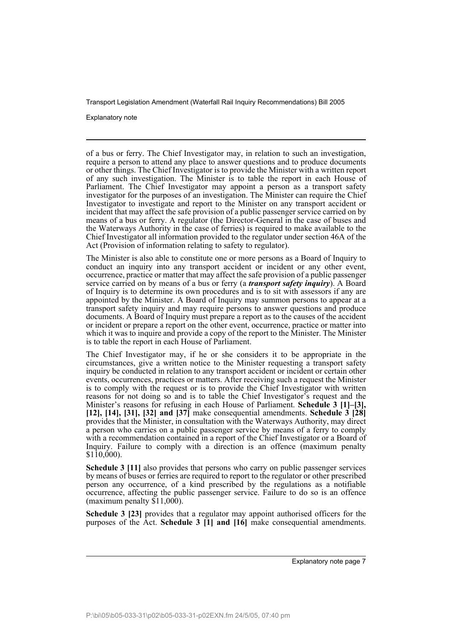Explanatory note

of a bus or ferry. The Chief Investigator may, in relation to such an investigation, require a person to attend any place to answer questions and to produce documents or other things. The Chief Investigator is to provide the Minister with a written report of any such investigation. The Minister is to table the report in each House of Parliament. The Chief Investigator may appoint a person as a transport safety investigator for the purposes of an investigation. The Minister can require the Chief Investigator to investigate and report to the Minister on any transport accident or incident that may affect the safe provision of a public passenger service carried on by means of a bus or ferry. A regulator (the Director-General in the case of buses and the Waterways Authority in the case of ferries) is required to make available to the Chief Investigator all information provided to the regulator under section 46A of the Act (Provision of information relating to safety to regulator).

The Minister is also able to constitute one or more persons as a Board of Inquiry to conduct an inquiry into any transport accident or incident or any other event, occurrence, practice or matter that may affect the safe provision of a public passenger service carried on by means of a bus or ferry (a *transport safety inquiry*). A Board of Inquiry is to determine its own procedures and is to sit with assessors if any are appointed by the Minister. A Board of Inquiry may summon persons to appear at a transport safety inquiry and may require persons to answer questions and produce documents. A Board of Inquiry must prepare a report as to the causes of the accident or incident or prepare a report on the other event, occurrence, practice or matter into which it was to inquire and provide a copy of the report to the Minister. The Minister is to table the report in each House of Parliament.

The Chief Investigator may, if he or she considers it to be appropriate in the circumstances, give a written notice to the Minister requesting a transport safety inquiry be conducted in relation to any transport accident or incident or certain other events, occurrences, practices or matters. After receiving such a request the Minister is to comply with the request or is to provide the Chief Investigator with written reasons for not doing so and is to table the Chief Investigator's request and the Minister's reasons for refusing in each House of Parliament. **Schedule 3 [1]–[3], [12], [14], [31], [32] and [37]** make consequential amendments. **Schedule 3 [28]** provides that the Minister, in consultation with the Waterways Authority, may direct a person who carries on a public passenger service by means of a ferry to comply with a recommendation contained in a report of the Chief Investigator or a Board of Inquiry. Failure to comply with a direction is an offence (maximum penalty  $$110,000$ ).

**Schedule 3 [11]** also provides that persons who carry on public passenger services by means of buses or ferries are required to report to the regulator or other prescribed person any occurrence, of a kind prescribed by the regulations as a notifiable occurrence, affecting the public passenger service. Failure to do so is an offence (maximum penalty \$11,000).

**Schedule 3 [23]** provides that a regulator may appoint authorised officers for the purposes of the Act. **Schedule 3 [1] and [16]** make consequential amendments.

Explanatory note page 7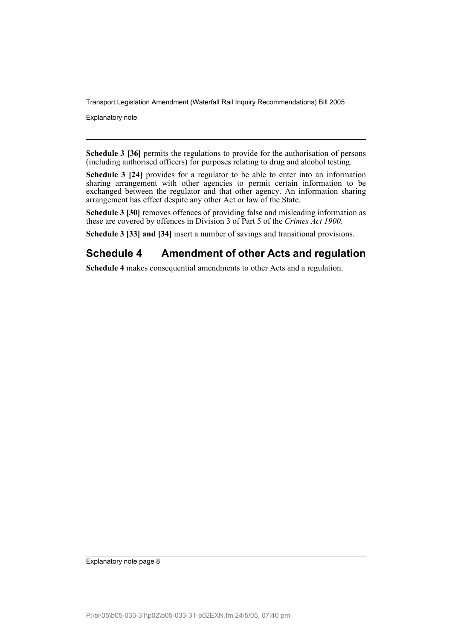Explanatory note

**Schedule 3 [36]** permits the regulations to provide for the authorisation of persons (including authorised officers) for purposes relating to drug and alcohol testing.

**Schedule 3 [24]** provides for a regulator to be able to enter into an information sharing arrangement with other agencies to permit certain information to be exchanged between the regulator and that other agency. An information sharing arrangement has effect despite any other Act or law of the State.

**Schedule 3 [30]** removes offences of providing false and misleading information as these are covered by offences in Division 3 of Part 5 of the *Crimes Act 1900*.

**Schedule 3 [33] and [34]** insert a number of savings and transitional provisions.

## **Schedule 4 Amendment of other Acts and regulation**

**Schedule 4** makes consequential amendments to other Acts and a regulation.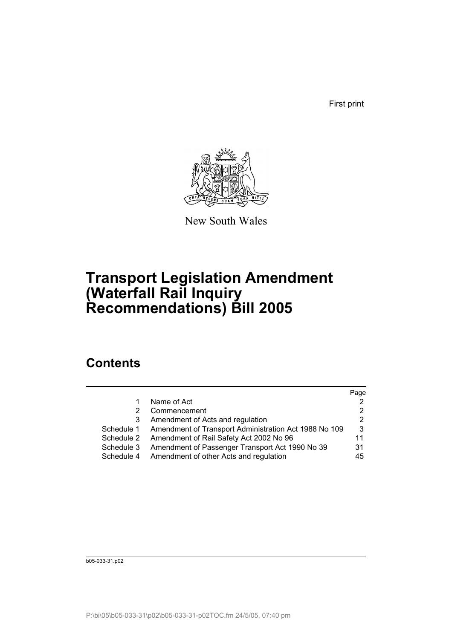First print



New South Wales

# **Transport Legislation Amendment (Waterfall Rail Inquiry Recommendations) Bill 2005**

## **Contents**

|                                                       | Page |
|-------------------------------------------------------|------|
| Name of Act                                           | 2.   |
| Commencement                                          | 2    |
| Amendment of Acts and regulation                      | 2    |
| Amendment of Transport Administration Act 1988 No 109 | 3    |
| Amendment of Rail Safety Act 2002 No 96               | 11   |
| Amendment of Passenger Transport Act 1990 No 39       | 31   |
| Amendment of other Acts and regulation                | 45   |
|                                                       |      |

b05-033-31.p02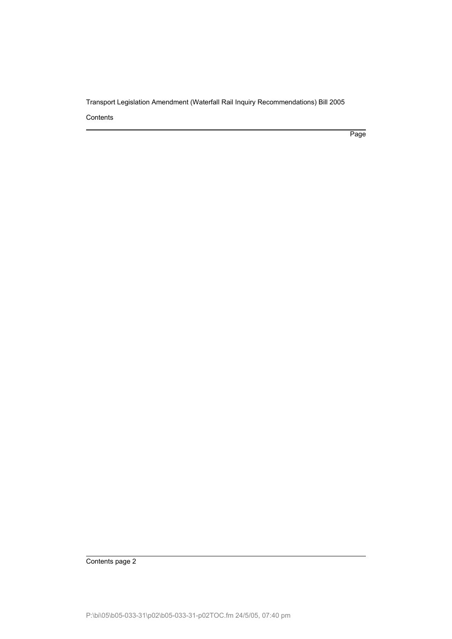Page

Contents page 2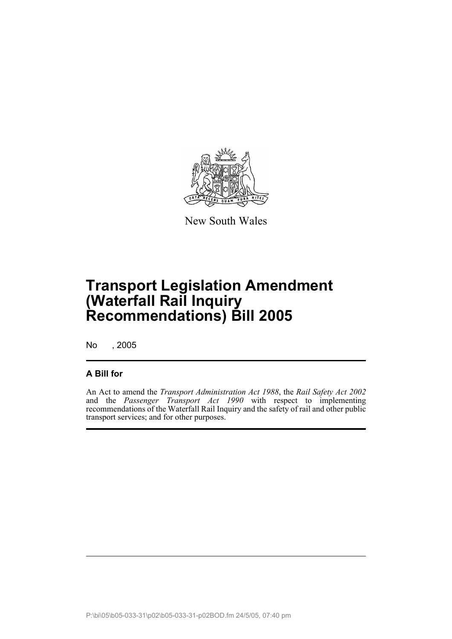

New South Wales

# **Transport Legislation Amendment (Waterfall Rail Inquiry Recommendations) Bill 2005**

No , 2005

## **A Bill for**

An Act to amend the *Transport Administration Act 1988*, the *Rail Safety Act 2002* and the *Passenger Transport Act 1990* with respect to implementing recommendations of the Waterfall Rail Inquiry and the safety of rail and other public transport services; and for other purposes.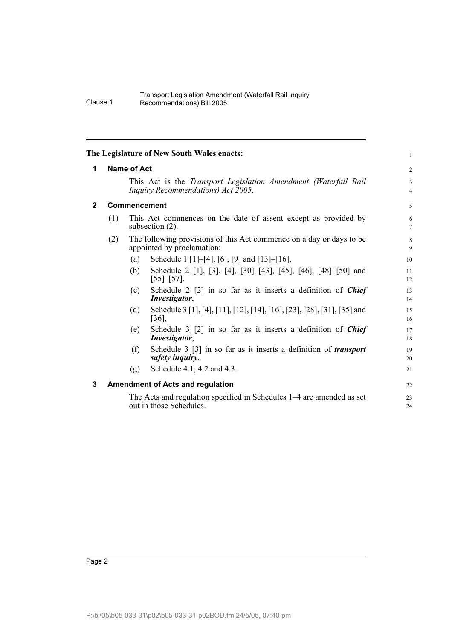<span id="page-11-2"></span><span id="page-11-1"></span><span id="page-11-0"></span>

|              | Name of Act  |                                                                                                              |
|--------------|--------------|--------------------------------------------------------------------------------------------------------------|
|              |              | This Act is the <i>Transport Legislation Amendment (Waterfall Rail</i><br>Inquiry Recommendations) Act 2005. |
| $\mathbf{2}$ | Commencement |                                                                                                              |
| (1)          |              | This Act commences on the date of assent except as provided by<br>subsection $(2)$ .                         |
| (2)          |              | The following provisions of this Act commence on a day or days to be<br>appointed by proclamation:           |
|              | (a)          | Schedule 1 [1]–[4], [6], [9] and [13]–[16],                                                                  |
|              | (b)          | Schedule 2 [1], [3], [4], [30]-[43], [45], [46], [48]-[50] and<br>$[55]-[57],$                               |
|              | (c)          | Schedule $2 \lfloor 2 \rfloor$ in so far as it inserts a definition of <i>Chief</i><br>Investigator,         |
|              | (d)          | Schedule 3 [1], [4], [11], [12], [14], [16], [23], [28], [31], [35] and<br>$[36]$ ,                          |
|              | (e)          | Schedule $3$ [2] in so far as it inserts a definition of <i>Chief</i><br><i>Investigator,</i>                |
|              | (f)          | Schedule 3 [3] in so far as it inserts a definition of <i>transport</i><br>safety inquiry,                   |
|              | (g)          | Schedule 4.1, 4.2 and 4.3.                                                                                   |
|              |              | <b>Amendment of Acts and regulation</b>                                                                      |
|              |              | The Acts and regulation specified in Schedules 1–4 are amended as set<br>out in those Schedules.             |

22 23 24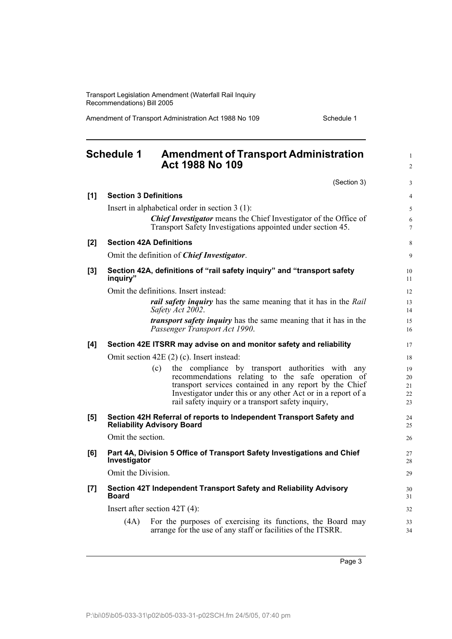Amendment of Transport Administration Act 1988 No 109 Schedule 1

## <span id="page-12-0"></span>**Schedule 1 Amendment of Transport Administration Act 1988 No 109**

(Section 3)

1 2

| (Section 3)                                                                                                                                                                                                                                                                                   | 3                          |
|-----------------------------------------------------------------------------------------------------------------------------------------------------------------------------------------------------------------------------------------------------------------------------------------------|----------------------------|
| <b>Section 3 Definitions</b>                                                                                                                                                                                                                                                                  | $\overline{4}$             |
| Insert in alphabetical order in section $3(1)$ :                                                                                                                                                                                                                                              | 5                          |
| <b>Chief Investigator</b> means the Chief Investigator of the Office of<br>Transport Safety Investigations appointed under section 45.                                                                                                                                                        | 6<br>$\overline{7}$        |
| <b>Section 42A Definitions</b>                                                                                                                                                                                                                                                                | 8                          |
| Omit the definition of <i>Chief Investigator</i> .                                                                                                                                                                                                                                            | $\mathfrak{g}$             |
| Section 42A, definitions of "rail safety inquiry" and "transport safety<br>inquiry"                                                                                                                                                                                                           | 10<br>11                   |
| Omit the definitions. Insert instead:                                                                                                                                                                                                                                                         | 12                         |
| <i>rail safety inquiry</i> has the same meaning that it has in the <i>Rail</i><br>Safety Act 2002.                                                                                                                                                                                            | 13<br>14                   |
| <i>transport safety inquiry</i> has the same meaning that it has in the<br>Passenger Transport Act 1990.                                                                                                                                                                                      | 15<br>16                   |
| Section 42E ITSRR may advise on and monitor safety and reliability                                                                                                                                                                                                                            | 17                         |
| Omit section 42E (2) (c). Insert instead:                                                                                                                                                                                                                                                     | 18                         |
| the compliance by transport authorities with any<br>(c)<br>recommendations relating to the safe operation of<br>transport services contained in any report by the Chief<br>Investigator under this or any other Act or in a report of a<br>rail safety inquiry or a transport safety inquiry, | 19<br>20<br>21<br>22<br>23 |
| Section 42H Referral of reports to Independent Transport Safety and<br><b>Reliability Advisory Board</b>                                                                                                                                                                                      | 24<br>25                   |
| Omit the section.                                                                                                                                                                                                                                                                             | 26                         |
| Part 4A, Division 5 Office of Transport Safety Investigations and Chief<br>Investigator                                                                                                                                                                                                       | 27<br>28                   |
| Omit the Division.                                                                                                                                                                                                                                                                            | 29                         |
| Section 42T Independent Transport Safety and Reliability Advisory<br><b>Board</b>                                                                                                                                                                                                             | 30<br>31                   |
| Insert after section $42T(4)$ :                                                                                                                                                                                                                                                               | 32                         |
| For the purposes of exercising its functions, the Board may<br>(4A)<br>arrange for the use of any staff or facilities of the ITSRR.                                                                                                                                                           | 33<br>34                   |
|                                                                                                                                                                                                                                                                                               |                            |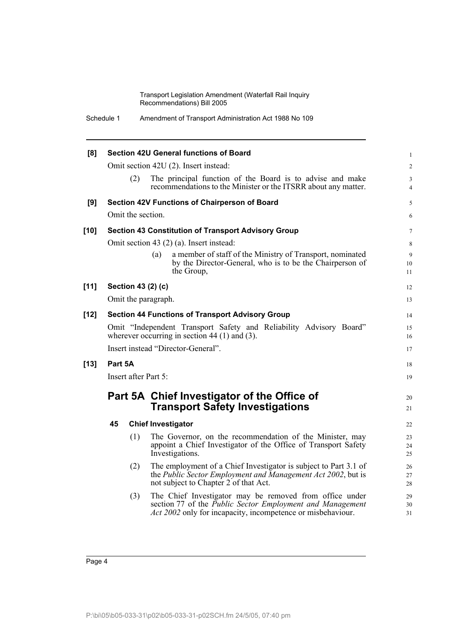| [8]    |                                                                    |     | <b>Section 42U General functions of Board</b>                                                                                            |  | $\mathbf{1}$        |  |  |
|--------|--------------------------------------------------------------------|-----|------------------------------------------------------------------------------------------------------------------------------------------|--|---------------------|--|--|
|        |                                                                    |     | Omit section 42U (2). Insert instead:                                                                                                    |  | $\overline{c}$      |  |  |
|        |                                                                    | (2) | The principal function of the Board is to advise and make<br>recommendations to the Minister or the ITSRR about any matter.              |  | 3<br>$\overline{4}$ |  |  |
| [9]    |                                                                    |     | <b>Section 42V Functions of Chairperson of Board</b>                                                                                     |  | 5                   |  |  |
|        | Omit the section.                                                  |     |                                                                                                                                          |  | 6                   |  |  |
| $[10]$ |                                                                    |     | <b>Section 43 Constitution of Transport Advisory Group</b>                                                                               |  | $\overline{7}$      |  |  |
|        |                                                                    |     | Omit section 43 (2) (a). Insert instead:                                                                                                 |  | 8                   |  |  |
|        |                                                                    |     | a member of staff of the Ministry of Transport, nominated<br>(a)                                                                         |  | 9                   |  |  |
|        |                                                                    |     | by the Director-General, who is to be the Chairperson of<br>the Group,                                                                   |  | 10<br>11            |  |  |
| [11]   | Section 43 (2) (c)                                                 |     |                                                                                                                                          |  | 12                  |  |  |
|        | Omit the paragraph.                                                |     |                                                                                                                                          |  |                     |  |  |
| $[12]$ | <b>Section 44 Functions of Transport Advisory Group</b>            |     |                                                                                                                                          |  |                     |  |  |
|        | Omit "Independent Transport Safety and Reliability Advisory Board" |     |                                                                                                                                          |  |                     |  |  |
|        |                                                                    |     | wherever occurring in section 44 $(1)$ and $(3)$ .                                                                                       |  | 16                  |  |  |
|        |                                                                    |     | Insert instead "Director-General".                                                                                                       |  | 17                  |  |  |
| $[13]$ | Part 5A                                                            |     |                                                                                                                                          |  | 18                  |  |  |
|        | Insert after Part 5:                                               |     |                                                                                                                                          |  | 19                  |  |  |
|        |                                                                    |     | Part 5A Chief Investigator of the Office of                                                                                              |  |                     |  |  |
|        |                                                                    |     | <b>Transport Safety Investigations</b>                                                                                                   |  | 20<br>21            |  |  |
|        |                                                                    |     |                                                                                                                                          |  |                     |  |  |
|        | 45                                                                 |     | <b>Chief Investigator</b>                                                                                                                |  | 22                  |  |  |
|        |                                                                    | (1) | The Governor, on the recommendation of the Minister, may<br>appoint a Chief Investigator of the Office of Transport Safety               |  | 23<br>24            |  |  |
|        |                                                                    |     | Investigations.                                                                                                                          |  | 25                  |  |  |
|        |                                                                    | (2) | The employment of a Chief Investigator is subject to Part 3.1 of<br>the <i>Public Sector Employment and Management Act 2002</i> , but is |  | 26<br>27            |  |  |
|        |                                                                    |     | not subject to Chapter 2 of that Act.                                                                                                    |  | 28                  |  |  |
|        |                                                                    | (3) | The Chief Investigator may be removed from office under                                                                                  |  | 29                  |  |  |
|        |                                                                    |     | section 77 of the Public Sector Employment and Management<br><i>Act 2002</i> only for incapacity, incompetence or misbehaviour.          |  | 30<br>31            |  |  |
|        |                                                                    |     |                                                                                                                                          |  |                     |  |  |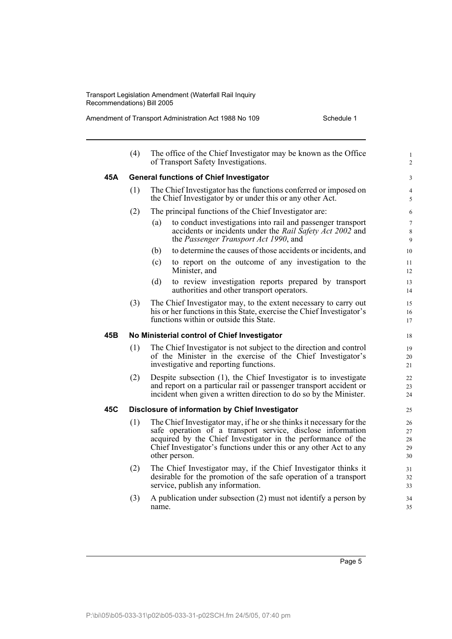|     | (4) | The office of the Chief Investigator may be known as the Office<br>of Transport Safety Investigations.                                                                                                                                                                                    | $\mathbf{1}$<br>$\overline{c}$ |
|-----|-----|-------------------------------------------------------------------------------------------------------------------------------------------------------------------------------------------------------------------------------------------------------------------------------------------|--------------------------------|
| 45A |     | <b>General functions of Chief Investigator</b>                                                                                                                                                                                                                                            | 3                              |
|     | (1) | The Chief Investigator has the functions conferred or imposed on<br>the Chief Investigator by or under this or any other Act.                                                                                                                                                             | $\overline{4}$<br>5            |
|     | (2) | The principal functions of the Chief Investigator are:                                                                                                                                                                                                                                    | 6                              |
|     |     | to conduct investigations into rail and passenger transport<br>(a)<br>accidents or incidents under the Rail Safety Act 2002 and<br>the Passenger Transport Act 1990, and                                                                                                                  | $\tau$<br>8<br>9               |
|     |     | to determine the causes of those accidents or incidents, and<br>(b)                                                                                                                                                                                                                       | 10                             |
|     |     | (c)<br>to report on the outcome of any investigation to the<br>Minister, and                                                                                                                                                                                                              | 11<br>12                       |
|     |     | (d)<br>to review investigation reports prepared by transport<br>authorities and other transport operators.                                                                                                                                                                                | 13<br>14                       |
|     | (3) | The Chief Investigator may, to the extent necessary to carry out<br>his or her functions in this State, exercise the Chief Investigator's<br>functions within or outside this State.                                                                                                      | 15<br>16<br>17                 |
| 45B |     | No Ministerial control of Chief Investigator                                                                                                                                                                                                                                              | 18                             |
|     | (1) | The Chief Investigator is not subject to the direction and control<br>of the Minister in the exercise of the Chief Investigator's<br>investigative and reporting functions.                                                                                                               | 19<br>20<br>21                 |
|     | (2) | Despite subsection (1), the Chief Investigator is to investigate<br>and report on a particular rail or passenger transport accident or<br>incident when given a written direction to do so by the Minister.                                                                               | 22<br>23<br>24                 |
| 45C |     | Disclosure of information by Chief Investigator                                                                                                                                                                                                                                           | 25                             |
|     | (1) | The Chief Investigator may, if he or she thinks it necessary for the<br>safe operation of a transport service, disclose information<br>acquired by the Chief Investigator in the performance of the<br>Chief Investigator's functions under this or any other Act to any<br>other person. | 26<br>27<br>28<br>29<br>30     |
|     | (2) | The Chief Investigator may, if the Chief Investigator thinks it<br>desirable for the promotion of the safe operation of a transport<br>service, publish any information.                                                                                                                  | 31<br>32<br>33                 |
|     | (3) | A publication under subsection (2) must not identify a person by<br>name.                                                                                                                                                                                                                 | 34<br>35                       |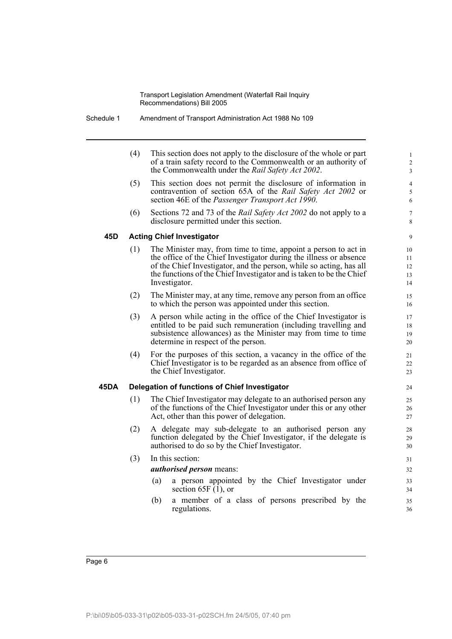Schedule 1 Amendment of Transport Administration Act 1988 No 109

| (4) | This section does not apply to the disclosure of the whole or part |
|-----|--------------------------------------------------------------------|
|     | of a train safety record to the Commonwealth or an authority of    |
|     | the Commonwealth under the Rail Safety Act 2002.                   |

- (5) This section does not permit the disclosure of information in contravention of section 65A of the *Rail Safety Act 2002* or section 46E of the *Passenger Transport Act 1990*.
- (6) Sections 72 and 73 of the *Rail Safety Act 2002* do not apply to a disclosure permitted under this section.

## **45D Acting Chief Investigator**

- (1) The Minister may, from time to time, appoint a person to act in the office of the Chief Investigator during the illness or absence of the Chief Investigator, and the person, while so acting, has all the functions of the Chief Investigator and is taken to be the Chief Investigator.
- (2) The Minister may, at any time, remove any person from an office to which the person was appointed under this section.
- (3) A person while acting in the office of the Chief Investigator is entitled to be paid such remuneration (including travelling and subsistence allowances) as the Minister may from time to time determine in respect of the person.
- (4) For the purposes of this section, a vacancy in the office of the Chief Investigator is to be regarded as an absence from office of the Chief Investigator.

## **45DA Delegation of functions of Chief Investigator**

- (1) The Chief Investigator may delegate to an authorised person any of the functions of the Chief Investigator under this or any other Act, other than this power of delegation.
- (2) A delegate may sub-delegate to an authorised person any function delegated by the Chief Investigator, if the delegate is authorised to do so by the Chief Investigator.

## (3) In this section: *authorised person* means:

- a person appointed by the Chief Investigator under section 65F  $(1)$ , or
- (b) a member of a class of persons prescribed by the regulations.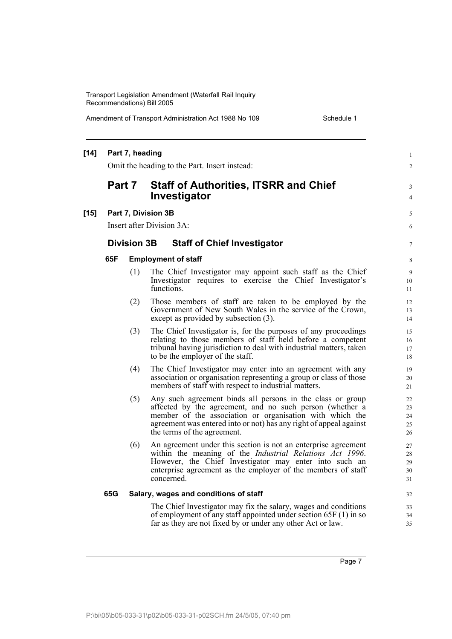1  $\mathfrak{D}$ 

3 4

5 6

7

## **[14] Part 7, heading** Omit the heading to the Part. Insert instead: **Part 7 Staff of Authorities, ITSRR and Chief Investigator [15] Part 7, Division 3B** Insert after Division 3A: **Division 3B Staff of Chief Investigator 65F Employment of staff** (1) The Chief Investigator may appoint such staff as the Chief Investigator requires to exercise the Chief Investigator's functions. (2) Those members of staff are taken to be employed by the Government of New South Wales in the service of the Crown, except as provided by subsection (3). (3) The Chief Investigator is, for the purposes of any proceedings relating to those members of staff held before a competent tribunal having jurisdiction to deal with industrial matters, taken to be the employer of the staff. (4) The Chief Investigator may enter into an agreement with any association or organisation representing a group or class of those members of staff with respect to industrial matters. (5) Any such agreement binds all persons in the class or group affected by the agreement, and no such person (whether a member of the association or organisation with which the agreement was entered into or not) has any right of appeal against the terms of the agreement. (6) An agreement under this section is not an enterprise agreement within the meaning of the *Industrial Relations Act 1996*. However, the Chief Investigator may enter into such an

enterprise agreement as the employer of the members of staff concerned.

## **65G Salary, wages and conditions of staff**

The Chief Investigator may fix the salary, wages and conditions of employment of any staff appointed under section 65F (1) in so far as they are not fixed by or under any other Act or law.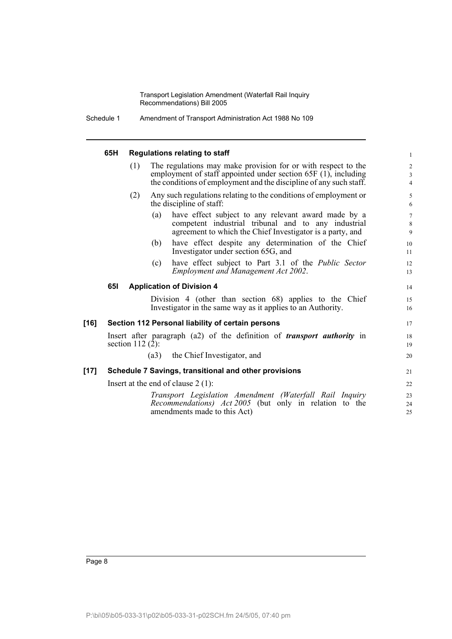Schedule 1 Amendment of Transport Administration Act 1988 No 109

## **65H Regulations relating to staff**

|      | 65H |                    | Regulations relating to staff                                                                                                                                                                           | $\mathbf{1}$                                       |
|------|-----|--------------------|---------------------------------------------------------------------------------------------------------------------------------------------------------------------------------------------------------|----------------------------------------------------|
|      |     | (1)                | The regulations may make provision for or with respect to the<br>employment of staff appointed under section $65F(1)$ , including<br>the conditions of employment and the discipline of any such staff. | $\overline{2}$<br>$\overline{3}$<br>$\overline{4}$ |
|      |     | (2)                | Any such regulations relating to the conditions of employment or<br>the discipline of staff:                                                                                                            | $\sqrt{5}$<br>6                                    |
|      |     |                    | have effect subject to any relevant award made by a<br>(a)<br>competent industrial tribunal and to any industrial<br>agreement to which the Chief Investigator is a party, and                          | $\boldsymbol{7}$<br>$\,8\,$<br>9                   |
|      |     |                    | have effect despite any determination of the Chief<br>(b)<br>Investigator under section 65G, and                                                                                                        | 10<br>11                                           |
|      |     |                    | have effect subject to Part 3.1 of the Public Sector<br>(c)<br><b>Employment and Management Act 2002.</b>                                                                                               | 12<br>13                                           |
|      | 65I |                    | <b>Application of Division 4</b>                                                                                                                                                                        | 14                                                 |
|      |     |                    | Division 4 (other than section 68) applies to the Chief<br>Investigator in the same way as it applies to an Authority.                                                                                  | 15<br>16                                           |
| [16] |     |                    | Section 112 Personal liability of certain persons                                                                                                                                                       | 17                                                 |
|      |     | section $112(2)$ : | Insert after paragraph (a2) of the definition of <i>transport authority</i> in                                                                                                                          | 18<br>19                                           |
|      |     |                    | (a3) the Chief Investigator, and                                                                                                                                                                        | 20                                                 |
| [17] |     |                    | Schedule 7 Savings, transitional and other provisions                                                                                                                                                   | 21                                                 |
|      |     |                    | Insert at the end of clause $2(1)$ :                                                                                                                                                                    | 22                                                 |
|      |     |                    | Transport Legislation Amendment (Waterfall Rail Inquiry<br><i>Recommendations</i> ) <i>Act</i> 2005 (but only in relation to the<br>amendments made to this Act)                                        | 23<br>24<br>25                                     |
|      |     |                    |                                                                                                                                                                                                         |                                                    |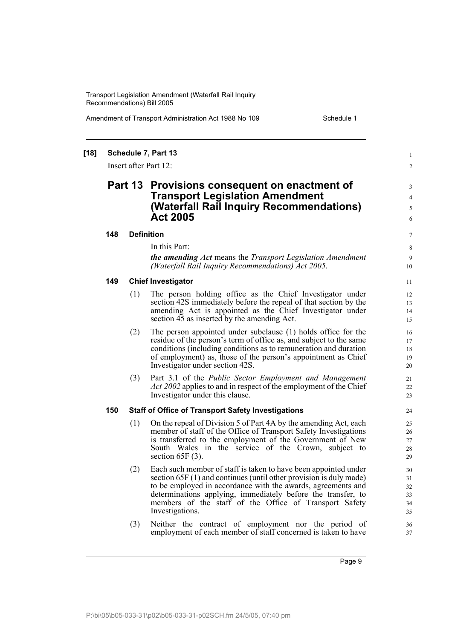Amendment of Transport Administration Act 1988 No 109 Schedule 1

1  $\mathfrak{D}$ 

## **[18] Schedule 7, Part 13**

Insert after Part 12:

## **Part 13 Provisions consequent on enactment of Transport Legislation Amendment (Waterfall Rail Inquiry Recommendations) Act 2005**

## **148 Definition**

In this Part:

*the amending Act* means the *Transport Legislation Amendment (Waterfall Rail Inquiry Recommendations) Act 2005*.

## **149 Chief Investigator**

- (1) The person holding office as the Chief Investigator under section 42S immediately before the repeal of that section by the amending Act is appointed as the Chief Investigator under section 45 as inserted by the amending Act.
- (2) The person appointed under subclause (1) holds office for the residue of the person's term of office as, and subject to the same conditions (including conditions as to remuneration and duration of employment) as, those of the person's appointment as Chief Investigator under section 42S.
- (3) Part 3.1 of the *Public Sector Employment and Management Act 2002* applies to and in respect of the employment of the Chief Investigator under this clause.

## **150 Staff of Office of Transport Safety Investigations**

- (1) On the repeal of Division 5 of Part 4A by the amending Act, each member of staff of the Office of Transport Safety Investigations is transferred to the employment of the Government of New South Wales in the service of the Crown, subject to section 65F (3).
- (2) Each such member of staff is taken to have been appointed under section 65F (1) and continues (until other provision is duly made) to be employed in accordance with the awards, agreements and determinations applying, immediately before the transfer, to members of the staff of the Office of Transport Safety Investigations.
- (3) Neither the contract of employment nor the period of employment of each member of staff concerned is taken to have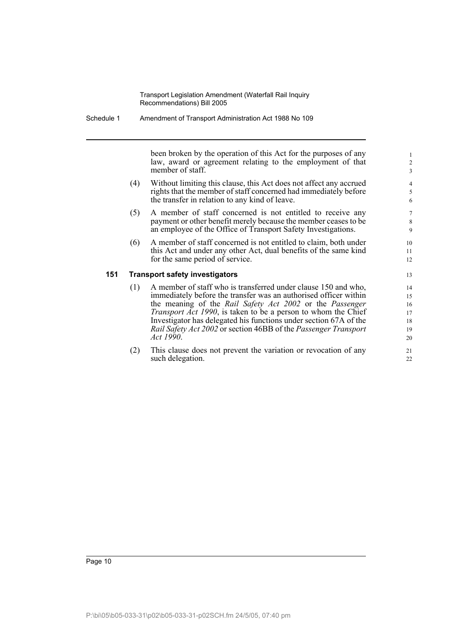Schedule 1 Amendment of Transport Administration Act 1988 No 109

been broken by the operation of this Act for the purposes of any law, award or agreement relating to the employment of that member of staff.

- (4) Without limiting this clause, this Act does not affect any accrued rights that the member of staff concerned had immediately before the transfer in relation to any kind of leave.
- (5) A member of staff concerned is not entitled to receive any payment or other benefit merely because the member ceases to be an employee of the Office of Transport Safety Investigations.
- (6) A member of staff concerned is not entitled to claim, both under this Act and under any other Act, dual benefits of the same kind for the same period of service.

## **151 Transport safety investigators**

- (1) A member of staff who is transferred under clause 150 and who, immediately before the transfer was an authorised officer within the meaning of the *Rail Safety Act 2002* or the *Passenger Transport Act 1990*, is taken to be a person to whom the Chief Investigator has delegated his functions under section 67A of the *Rail Safety Act 2002* or section 46BB of the *Passenger Transport Act 1990*.
- (2) This clause does not prevent the variation or revocation of any such delegation.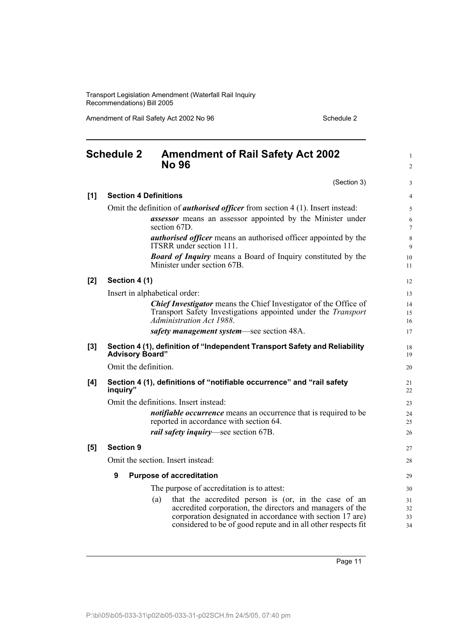Amendment of Rail Safety Act 2002 No 96 Schedule 2

1  $\mathfrak{Z}$ 

### <span id="page-20-0"></span>**Schedule 2 Amendment of Rail Safety Act 2002 No 96** (Section 3) **[1] Section 4 Definitions** Omit the definition of *authorised officer* from section 4 (1). Insert instead: *assessor* means an assessor appointed by the Minister under section 67D. *authorised officer* means an authorised officer appointed by the ITSRR under section 111. *Board of Inquiry* means a Board of Inquiry constituted by the Minister under section 67B. **[2] Section 4 (1)** Insert in alphabetical order: *Chief Investigator* means the Chief Investigator of the Office of Transport Safety Investigations appointed under the *Transport Administration Act 1988*. *safety management system*—see section 48A. **[3] Section 4 (1), definition of "Independent Transport Safety and Reliability Advisory Board"** Omit the definition. **[4] Section 4 (1), definitions of "notifiable occurrence" and "rail safety inquiry"** Omit the definitions. Insert instead: *notifiable occurrence* means an occurrence that is required to be reported in accordance with section 64. *rail safety inquiry*—see section 67B. **[5] Section 9** Omit the section. Insert instead: **9 Purpose of accreditation** The purpose of accreditation is to attest: (a) that the accredited person is (or, in the case of an accredited corporation, the directors and managers of the corporation designated in accordance with section 17 are) considered to be of good repute and in all other respects fit 10 11 12 13 14 15 16 17 18 19  $20$ 21  $22$ 23 24 25 26  $27$ 28 29 30 31 32 33 34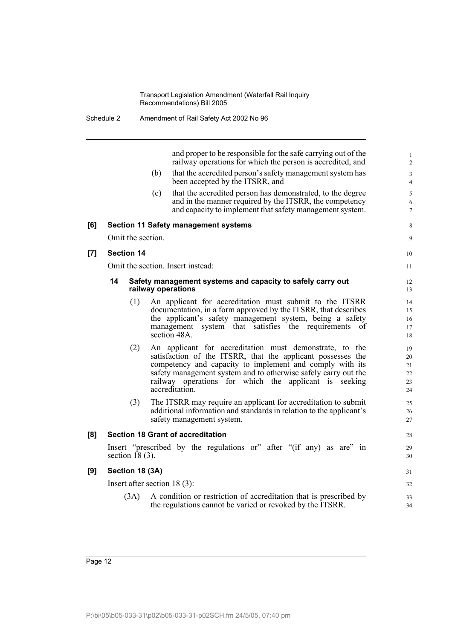Schedule 2 Amendment of Rail Safety Act 2002 No 96

and proper to be responsible for the safe carrying out of the railway operations for which the person is accredited, and

8 9

10 11

- (b) that the accredited person's safety management system has been accepted by the ITSRR, and
- (c) that the accredited person has demonstrated, to the degree and in the manner required by the ITSRR, the competency and capacity to implement that safety management system.

## **[6] Section 11 Safety management systems**

Omit the section.

## **[7] Section 14**

Omit the section. Insert instead:

### **14 Safety management systems and capacity to safely carry out railway operations**

- (1) An applicant for accreditation must submit to the ITSRR documentation, in a form approved by the ITSRR, that describes the applicant's safety management system, being a safety management system that satisfies the requirements of section 48A.
- (2) An applicant for accreditation must demonstrate, to the satisfaction of the ITSRR, that the applicant possesses the competency and capacity to implement and comply with its safety management system and to otherwise safely carry out the railway operations for which the applicant is seeking accreditation.
- (3) The ITSRR may require an applicant for accreditation to submit additional information and standards in relation to the applicant's safety management system.

## **[8] Section 18 Grant of accreditation**

Insert "prescribed by the regulations or" after "(if any) as are" in section  $18(3)$ .

## **[9] Section 18 (3A)**

Insert after section 18 (3):

(3A) A condition or restriction of accreditation that is prescribed by the regulations cannot be varied or revoked by the ITSRR.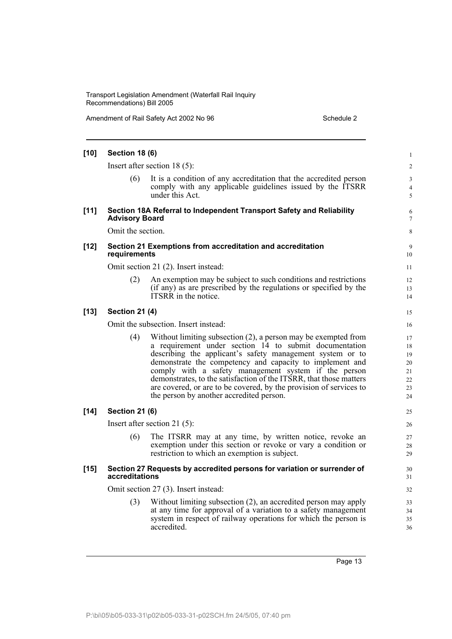Amendment of Rail Safety Act 2002 No 96 Schedule 2 Schedule 2

| $[10]$ | <b>Section 18 (6)</b>                |                                                                                                                                                                                                                                                                                                                                                                                                                                                                                                      | $\mathbf{1}$                                 |  |  |
|--------|--------------------------------------|------------------------------------------------------------------------------------------------------------------------------------------------------------------------------------------------------------------------------------------------------------------------------------------------------------------------------------------------------------------------------------------------------------------------------------------------------------------------------------------------------|----------------------------------------------|--|--|
|        |                                      | Insert after section 18 $(5)$ :                                                                                                                                                                                                                                                                                                                                                                                                                                                                      | 2                                            |  |  |
|        | (6)                                  | It is a condition of any accreditation that the accredited person<br>comply with any applicable guidelines issued by the ITSRR                                                                                                                                                                                                                                                                                                                                                                       | $\mathfrak{Z}$<br>4                          |  |  |
|        |                                      | under this Act.                                                                                                                                                                                                                                                                                                                                                                                                                                                                                      | 5                                            |  |  |
| $[11]$ | <b>Advisory Board</b>                | Section 18A Referral to Independent Transport Safety and Reliability                                                                                                                                                                                                                                                                                                                                                                                                                                 | 6<br>7                                       |  |  |
|        | Omit the section.                    |                                                                                                                                                                                                                                                                                                                                                                                                                                                                                                      | 8                                            |  |  |
| $[12]$ | requirements                         | Section 21 Exemptions from accreditation and accreditation                                                                                                                                                                                                                                                                                                                                                                                                                                           | 9<br>10                                      |  |  |
|        |                                      | Omit section 21 (2). Insert instead:                                                                                                                                                                                                                                                                                                                                                                                                                                                                 | 11                                           |  |  |
|        | (2)                                  | An exemption may be subject to such conditions and restrictions<br>(if any) as are prescribed by the regulations or specified by the<br>ITSRR in the notice.                                                                                                                                                                                                                                                                                                                                         | 12<br>13<br>14                               |  |  |
| $[13]$ | <b>Section 21 (4)</b>                |                                                                                                                                                                                                                                                                                                                                                                                                                                                                                                      | 15                                           |  |  |
|        |                                      | Omit the subsection. Insert instead:                                                                                                                                                                                                                                                                                                                                                                                                                                                                 | 16                                           |  |  |
|        | (4)                                  | Without limiting subsection $(2)$ , a person may be exempted from<br>a requirement under section 14 to submit documentation<br>describing the applicant's safety management system or to<br>demonstrate the competency and capacity to implement and<br>comply with a safety management system if the person<br>demonstrates, to the satisfaction of the ITSRR, that those matters<br>are covered, or are to be covered, by the provision of services to<br>the person by another accredited person. | 17<br>18<br>19<br>20<br>21<br>22<br>23<br>24 |  |  |
| $[14]$ | <b>Section 21 (6)</b>                |                                                                                                                                                                                                                                                                                                                                                                                                                                                                                                      | 25                                           |  |  |
|        |                                      | Insert after section 21 $(5)$ :                                                                                                                                                                                                                                                                                                                                                                                                                                                                      | 26                                           |  |  |
|        | (6)                                  | The ITSRR may at any time, by written notice, revoke an<br>exemption under this section or revoke or vary a condition or<br>restriction to which an exemption is subject.                                                                                                                                                                                                                                                                                                                            | 27<br>28<br>29                               |  |  |
| $[15]$ | accreditations                       | Section 27 Requests by accredited persons for variation or surrender of                                                                                                                                                                                                                                                                                                                                                                                                                              | 30<br>31                                     |  |  |
|        | Omit section 27 (3). Insert instead: |                                                                                                                                                                                                                                                                                                                                                                                                                                                                                                      |                                              |  |  |
|        | (3)                                  | Without limiting subsection (2), an accredited person may apply<br>at any time for approval of a variation to a safety management<br>system in respect of railway operations for which the person is<br>accredited.                                                                                                                                                                                                                                                                                  | 33<br>34<br>35<br>36                         |  |  |
|        |                                      |                                                                                                                                                                                                                                                                                                                                                                                                                                                                                                      |                                              |  |  |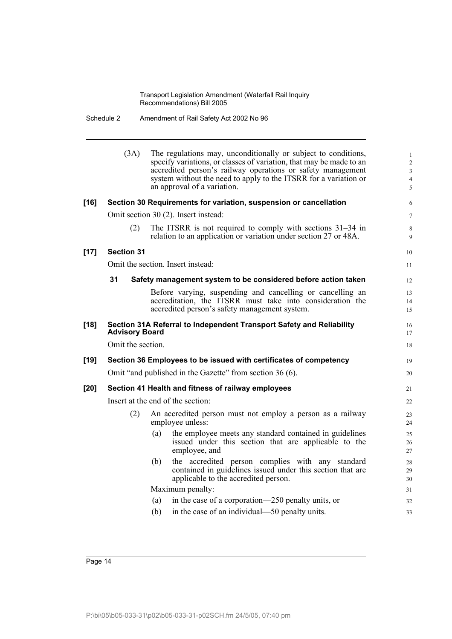Schedule 2 Amendment of Rail Safety Act 2002 No 96

|        | (3A)                                                     |     | The regulations may, unconditionally or subject to conditions,<br>specify variations, or classes of variation, that may be made to an<br>accredited person's railway operations or safety management<br>system without the need to apply to the ITSRR for a variation or<br>an approval of a variation. | $\mathbf{1}$<br>$\overline{2}$<br>3<br>$\overline{4}$<br>5 |  |  |  |  |
|--------|----------------------------------------------------------|-----|---------------------------------------------------------------------------------------------------------------------------------------------------------------------------------------------------------------------------------------------------------------------------------------------------------|------------------------------------------------------------|--|--|--|--|
| [16]   |                                                          |     | Section 30 Requirements for variation, suspension or cancellation                                                                                                                                                                                                                                       | 6                                                          |  |  |  |  |
|        | Omit section 30 (2). Insert instead:                     |     |                                                                                                                                                                                                                                                                                                         |                                                            |  |  |  |  |
|        | (2)                                                      |     | The ITSRR is not required to comply with sections 31–34 in<br>relation to an application or variation under section 27 or 48A.                                                                                                                                                                          | 8<br>9                                                     |  |  |  |  |
| $[17]$ | <b>Section 31</b>                                        |     |                                                                                                                                                                                                                                                                                                         | 10                                                         |  |  |  |  |
|        |                                                          |     | Omit the section. Insert instead:                                                                                                                                                                                                                                                                       | 11                                                         |  |  |  |  |
|        | 31                                                       |     | Safety management system to be considered before action taken                                                                                                                                                                                                                                           | 12                                                         |  |  |  |  |
|        |                                                          |     | Before varying, suspending and cancelling or cancelling an<br>accreditation, the ITSRR must take into consideration the<br>accredited person's safety management system.                                                                                                                                | 13<br>14<br>15                                             |  |  |  |  |
| $[18]$ | <b>Advisory Board</b>                                    |     | Section 31A Referral to Independent Transport Safety and Reliability                                                                                                                                                                                                                                    | 16<br>17                                                   |  |  |  |  |
|        | Omit the section.                                        |     |                                                                                                                                                                                                                                                                                                         | 18                                                         |  |  |  |  |
| $[19]$ |                                                          |     | Section 36 Employees to be issued with certificates of competency                                                                                                                                                                                                                                       | 19                                                         |  |  |  |  |
|        | Omit "and published in the Gazette" from section 36 (6). |     |                                                                                                                                                                                                                                                                                                         |                                                            |  |  |  |  |
| $[20]$ | Section 41 Health and fitness of railway employees       |     |                                                                                                                                                                                                                                                                                                         |                                                            |  |  |  |  |
|        |                                                          |     | Insert at the end of the section:                                                                                                                                                                                                                                                                       | 22                                                         |  |  |  |  |
|        | (2)                                                      |     | An accredited person must not employ a person as a railway<br>employee unless:                                                                                                                                                                                                                          | 23<br>24                                                   |  |  |  |  |
|        |                                                          | (a) | the employee meets any standard contained in guidelines<br>issued under this section that are applicable to the<br>employee, and                                                                                                                                                                        | 25<br>26<br>27                                             |  |  |  |  |
|        |                                                          | (b) | the accredited person complies with any standard<br>contained in guidelines issued under this section that are<br>applicable to the accredited person.                                                                                                                                                  | 28<br>29<br>30                                             |  |  |  |  |
|        |                                                          |     | Maximum penalty:                                                                                                                                                                                                                                                                                        | 31                                                         |  |  |  |  |
|        |                                                          | (a) | in the case of a corporation—250 penalty units, or                                                                                                                                                                                                                                                      | 32                                                         |  |  |  |  |
|        |                                                          | (b) | in the case of an individual—50 penalty units.                                                                                                                                                                                                                                                          | 33                                                         |  |  |  |  |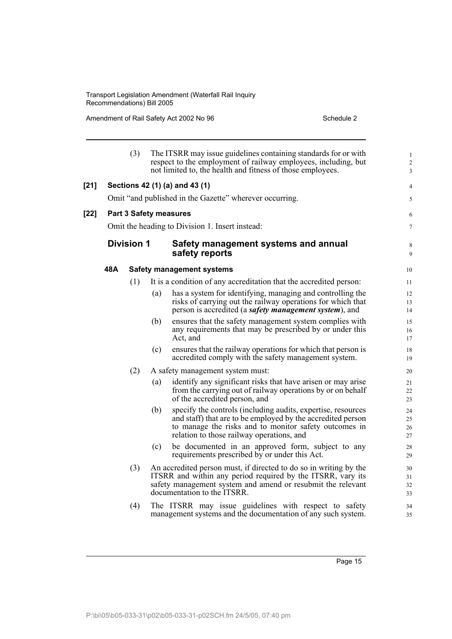Amendment of Rail Safety Act 2002 No 96 Schedule 2 Schedule 2

|        |     | (3)               |     | The ITSRR may issue guidelines containing standards for or with<br>respect to the employment of railway employees, including, but<br>not limited to, the health and fitness of those employees.                                   | $\mathbf{1}$<br>$\overline{2}$<br>3 |
|--------|-----|-------------------|-----|-----------------------------------------------------------------------------------------------------------------------------------------------------------------------------------------------------------------------------------|-------------------------------------|
| $[21]$ |     |                   |     | Sections 42 (1) (a) and 43 (1)                                                                                                                                                                                                    | $\overline{4}$                      |
|        |     |                   |     | Omit "and published in the Gazette" wherever occurring.                                                                                                                                                                           | 5                                   |
| $[22]$ |     |                   |     | <b>Part 3 Safety measures</b>                                                                                                                                                                                                     | 6                                   |
|        |     |                   |     | Omit the heading to Division 1. Insert instead:                                                                                                                                                                                   | $\tau$                              |
|        |     | <b>Division 1</b> |     | Safety management systems and annual<br>safety reports                                                                                                                                                                            | 8<br>9                              |
|        | 48A |                   |     | <b>Safety management systems</b>                                                                                                                                                                                                  | 10                                  |
|        |     | (1)               |     | It is a condition of any accreditation that the accredited person:                                                                                                                                                                | 11                                  |
|        |     |                   | (a) | has a system for identifying, managing and controlling the<br>risks of carrying out the railway operations for which that<br>person is accredited (a <i>safety management system</i> ), and                                       | 12<br>13<br>14                      |
|        |     |                   | (b) | ensures that the safety management system complies with<br>any requirements that may be prescribed by or under this<br>Act, and                                                                                                   | 15<br>16<br>17                      |
|        |     |                   | (c) | ensures that the railway operations for which that person is<br>accredited comply with the safety management system.                                                                                                              | 18<br>19                            |
|        |     | (2)               |     | A safety management system must:                                                                                                                                                                                                  | 20                                  |
|        |     |                   | (a) | identify any significant risks that have arisen or may arise<br>from the carrying out of railway operations by or on behalf<br>of the accredited person, and                                                                      | 21<br>22<br>23                      |
|        |     |                   | (b) | specify the controls (including audits, expertise, resources<br>and staff) that are to be employed by the accredited person<br>to manage the risks and to monitor safety outcomes in<br>relation to those railway operations, and | 24<br>25<br>26<br>27                |
|        |     |                   | (c) | be documented in an approved form, subject to any<br>requirements prescribed by or under this Act.                                                                                                                                | 28<br>29                            |
|        |     | (3)               |     | An accredited person must, if directed to do so in writing by the<br>ITSRR and within any period required by the ITSRR, vary its<br>safety management system and amend or resubmit the relevant<br>documentation to the ITSRR.    | 30<br>31<br>32<br>33                |
|        |     | (4)               |     | The ITSRR may issue guidelines with respect to safety<br>management systems and the documentation of any such system.                                                                                                             | 34<br>35                            |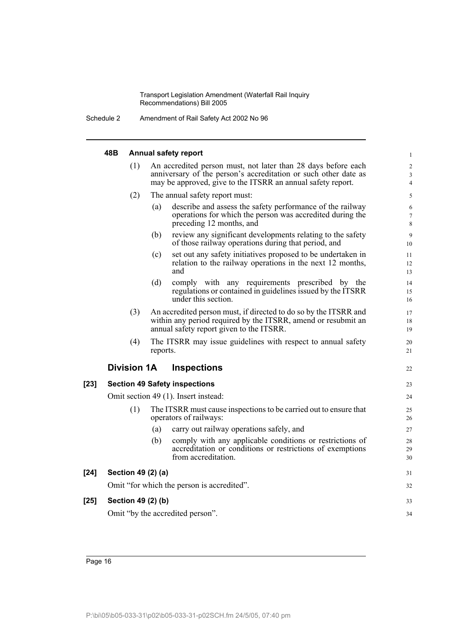Schedule 2 Amendment of Rail Safety Act 2002 No 96

### **48B Annual safety report** (1) An accredited person must, not later than 28 days before each anniversary of the person's accreditation or such other date as may be approved, give to the ITSRR an annual safety report. (2) The annual safety report must: (a) describe and assess the safety performance of the railway operations for which the person was accredited during the preceding 12 months, and (b) review any significant developments relating to the safety of those railway operations during that period, and (c) set out any safety initiatives proposed to be undertaken in relation to the railway operations in the next 12 months, and (d) comply with any requirements prescribed by the regulations or contained in guidelines issued by the ITSRR under this section. (3) An accredited person must, if directed to do so by the ITSRR and within any period required by the ITSRR, amend or resubmit an annual safety report given to the ITSRR. (4) The ITSRR may issue guidelines with respect to annual safety reports. **Division 1A Inspections [23] Section 49 Safety inspections** Omit section 49 (1). Insert instead: (1) The ITSRR must cause inspections to be carried out to ensure that operators of railways: (a) carry out railway operations safely, and (b) comply with any applicable conditions or restrictions of accreditation or conditions or restrictions of exemptions from accreditation. **[24] Section 49 (2) (a)** Omit "for which the person is accredited". **[25] Section 49 (2) (b)** Omit "by the accredited person". 1 2 3 4 5 6 7 8 9 10 11 12 13 14 15 16 17 18 19  $20$ 21 22  $23$ 24  $25$ 26  $27$ 28 29 30 31 32 33 34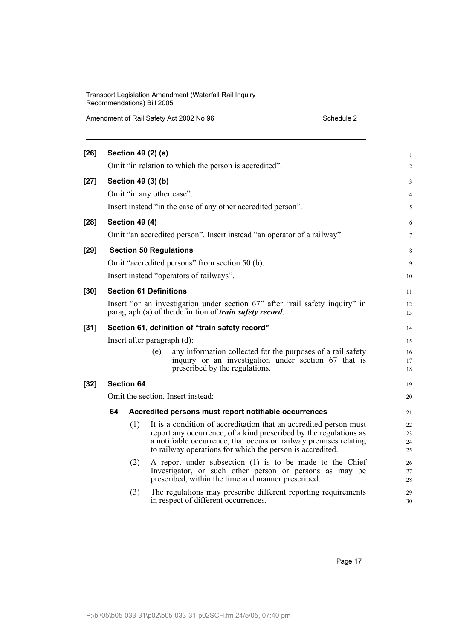| $[26]$ |                                                                                                                                                 |                       | Section 49 (2) (e)                                                                                                                                                                                                                                                       | $\mathbf{1}$         |  |  |
|--------|-------------------------------------------------------------------------------------------------------------------------------------------------|-----------------------|--------------------------------------------------------------------------------------------------------------------------------------------------------------------------------------------------------------------------------------------------------------------------|----------------------|--|--|
|        |                                                                                                                                                 |                       | Omit "in relation to which the person is accredited".                                                                                                                                                                                                                    | $\overline{c}$       |  |  |
| $[27]$ |                                                                                                                                                 |                       | Section 49 (3) (b)                                                                                                                                                                                                                                                       | 3                    |  |  |
|        |                                                                                                                                                 |                       | Omit "in any other case".                                                                                                                                                                                                                                                | 4                    |  |  |
|        |                                                                                                                                                 |                       | Insert instead "in the case of any other accredited person".                                                                                                                                                                                                             | 5                    |  |  |
| $[28]$ |                                                                                                                                                 | <b>Section 49 (4)</b> |                                                                                                                                                                                                                                                                          | 6                    |  |  |
|        |                                                                                                                                                 |                       | Omit "an accredited person". Insert instead "an operator of a railway".                                                                                                                                                                                                  | 7                    |  |  |
| $[29]$ |                                                                                                                                                 |                       | <b>Section 50 Regulations</b>                                                                                                                                                                                                                                            | 8                    |  |  |
|        |                                                                                                                                                 |                       | Omit "accredited persons" from section 50 (b).                                                                                                                                                                                                                           | 9                    |  |  |
|        |                                                                                                                                                 |                       | Insert instead "operators of railways".                                                                                                                                                                                                                                  | 10                   |  |  |
| $[30]$ |                                                                                                                                                 |                       | <b>Section 61 Definitions</b>                                                                                                                                                                                                                                            | 11                   |  |  |
|        | Insert "or an investigation under section 67" after "rail safety inquiry" in<br>paragraph (a) of the definition of <i>train safety record</i> . |                       |                                                                                                                                                                                                                                                                          |                      |  |  |
| $[31]$ | Section 61, definition of "train safety record"                                                                                                 |                       |                                                                                                                                                                                                                                                                          |                      |  |  |
|        | Insert after paragraph $(d)$ :                                                                                                                  |                       |                                                                                                                                                                                                                                                                          |                      |  |  |
|        |                                                                                                                                                 |                       | any information collected for the purposes of a rail safety<br>(e)<br>inquiry or an investigation under section 67 that is<br>prescribed by the regulations.                                                                                                             | 16<br>17<br>18       |  |  |
| $[32]$ |                                                                                                                                                 | <b>Section 64</b>     |                                                                                                                                                                                                                                                                          | 19                   |  |  |
|        |                                                                                                                                                 |                       | Omit the section. Insert instead:                                                                                                                                                                                                                                        | 20                   |  |  |
|        | 64                                                                                                                                              |                       | Accredited persons must report notifiable occurrences                                                                                                                                                                                                                    | 21                   |  |  |
|        |                                                                                                                                                 | (1)                   | It is a condition of accreditation that an accredited person must<br>report any occurrence, of a kind prescribed by the regulations as<br>a notifiable occurrence, that occurs on railway premises relating<br>to railway operations for which the person is accredited. | 22<br>23<br>24<br>25 |  |  |
|        |                                                                                                                                                 | (2)                   | A report under subsection (1) is to be made to the Chief<br>Investigator, or such other person or persons as may be<br>prescribed, within the time and manner prescribed.                                                                                                | 26<br>27<br>28       |  |  |
|        |                                                                                                                                                 | (3)                   | The regulations may prescribe different reporting requirements<br>in respect of different occurrences.                                                                                                                                                                   | 29<br>30             |  |  |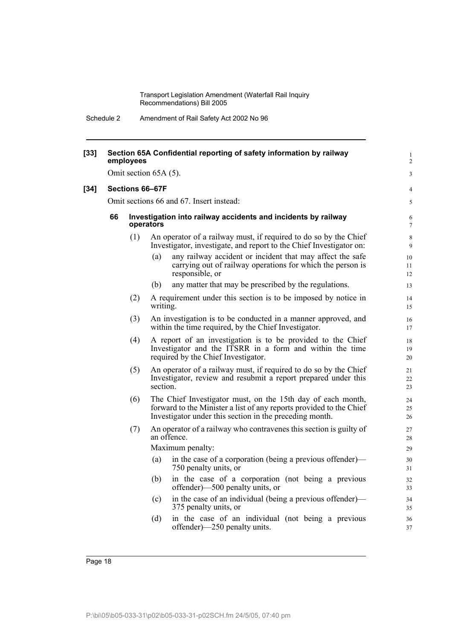Schedule 2 Amendment of Rail Safety Act 2002 No 96

| [33] |                                          | employees | Section 65A Confidential reporting of safety information by railway                                                                                                                           | 1<br>$\overline{2}$ |  |
|------|------------------------------------------|-----------|-----------------------------------------------------------------------------------------------------------------------------------------------------------------------------------------------|---------------------|--|
|      |                                          |           | Omit section 65A (5).                                                                                                                                                                         | 3                   |  |
| [34] |                                          |           | Sections 66-67F                                                                                                                                                                               | $\overline{4}$      |  |
|      | Omit sections 66 and 67. Insert instead: |           |                                                                                                                                                                                               |                     |  |
|      | 66                                       |           | Investigation into railway accidents and incidents by railway<br>operators                                                                                                                    | 6<br>7              |  |
|      |                                          | (1)       | An operator of a railway must, if required to do so by the Chief<br>Investigator, investigate, and report to the Chief Investigator on:                                                       | 8<br>9              |  |
|      |                                          |           | any railway accident or incident that may affect the safe<br>(a)<br>carrying out of railway operations for which the person is<br>responsible, or                                             | 10<br>11<br>12      |  |
|      |                                          |           | any matter that may be prescribed by the regulations.<br>(b)                                                                                                                                  | 13                  |  |
|      |                                          | (2)       | A requirement under this section is to be imposed by notice in<br>writing.                                                                                                                    | 14<br>15            |  |
|      |                                          | (3)       | An investigation is to be conducted in a manner approved, and<br>within the time required, by the Chief Investigator.                                                                         | 16<br>17            |  |
|      |                                          | (4)       | A report of an investigation is to be provided to the Chief<br>Investigator and the ITSRR in a form and within the time<br>required by the Chief Investigator.                                | 18<br>19<br>20      |  |
|      |                                          | (5)       | An operator of a railway must, if required to do so by the Chief<br>Investigator, review and resubmit a report prepared under this<br>section.                                                | 21<br>22<br>23      |  |
|      |                                          | (6)       | The Chief Investigator must, on the 15th day of each month,<br>forward to the Minister a list of any reports provided to the Chief<br>Investigator under this section in the preceding month. | 24<br>25<br>26      |  |
|      |                                          | (7)       | An operator of a railway who contravenes this section is guilty of<br>an offence.<br>Maximum penalty:                                                                                         | 27<br>28<br>29      |  |
|      |                                          |           | in the case of a corporation (being a previous offender)—<br>(a)<br>750 penalty units, or                                                                                                     | 30<br>31            |  |
|      |                                          |           | in the case of a corporation (not being a previous<br>(b)<br>offender)—500 penalty units, or                                                                                                  | 32<br>33            |  |
|      |                                          |           | in the case of an individual (being a previous offender)—<br>(c)<br>375 penalty units, or                                                                                                     | 34<br>35            |  |
|      |                                          |           | in the case of an individual (not being a previous<br>(d)<br>offender)—250 penalty units.                                                                                                     | 36<br>37            |  |
|      |                                          |           |                                                                                                                                                                                               |                     |  |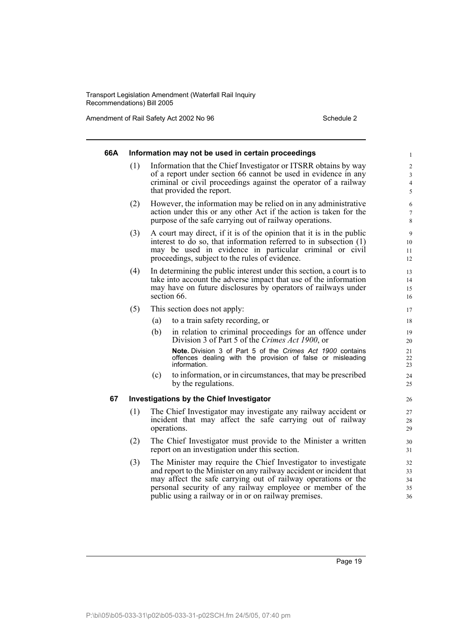Amendment of Rail Safety Act 2002 No 96 Schedule 2 Schedule 2

| 66A |     |     | Information may not be used in certain proceedings                                                                                                                                                                                                                                                                           | 1                                                   |
|-----|-----|-----|------------------------------------------------------------------------------------------------------------------------------------------------------------------------------------------------------------------------------------------------------------------------------------------------------------------------------|-----------------------------------------------------|
|     | (1) |     | Information that the Chief Investigator or ITSRR obtains by way<br>of a report under section 66 cannot be used in evidence in any<br>criminal or civil proceedings against the operator of a railway<br>that provided the report.                                                                                            | $\sqrt{2}$<br>$\mathfrak{Z}$<br>$\overline{4}$<br>5 |
|     | (2) |     | However, the information may be relied on in any administrative<br>action under this or any other Act if the action is taken for the<br>purpose of the safe carrying out of railway operations.                                                                                                                              | $\boldsymbol{6}$<br>$\boldsymbol{7}$<br>$\,8\,$     |
|     | (3) |     | A court may direct, if it is of the opinion that it is in the public<br>interest to do so, that information referred to in subsection $(1)$<br>may be used in evidence in particular criminal or civil<br>proceedings, subject to the rules of evidence.                                                                     | $\mathfrak{g}$<br>10<br>11<br>12                    |
|     | (4) |     | In determining the public interest under this section, a court is to<br>take into account the adverse impact that use of the information<br>may have on future disclosures by operators of railways under<br>section 66.                                                                                                     | 13<br>14<br>15<br>16                                |
|     | (5) |     | This section does not apply:                                                                                                                                                                                                                                                                                                 | 17                                                  |
|     |     | (a) | to a train safety recording, or                                                                                                                                                                                                                                                                                              | 18                                                  |
|     |     | (b) | in relation to criminal proceedings for an offence under<br>Division 3 of Part 5 of the Crimes Act 1900, or                                                                                                                                                                                                                  | 19<br>20                                            |
|     |     |     | Note. Division 3 of Part 5 of the Crimes Act 1900 contains<br>offences dealing with the provision of false or misleading<br>information.                                                                                                                                                                                     | 21<br>22<br>23                                      |
|     |     | (c) | to information, or in circumstances, that may be prescribed<br>by the regulations.                                                                                                                                                                                                                                           | 24<br>25                                            |
| 67  |     |     | <b>Investigations by the Chief Investigator</b>                                                                                                                                                                                                                                                                              | 26                                                  |
|     | (1) |     | The Chief Investigator may investigate any railway accident or<br>incident that may affect the safe carrying out of railway<br>operations.                                                                                                                                                                                   | 27<br>28<br>29                                      |
|     | (2) |     | The Chief Investigator must provide to the Minister a written<br>report on an investigation under this section.                                                                                                                                                                                                              | 30<br>31                                            |
|     | (3) |     | The Minister may require the Chief Investigator to investigate<br>and report to the Minister on any railway accident or incident that<br>may affect the safe carrying out of railway operations or the<br>personal security of any railway employee or member of the<br>public using a railway or in or on railway premises. | 32<br>33<br>34<br>35<br>36                          |
|     |     |     |                                                                                                                                                                                                                                                                                                                              |                                                     |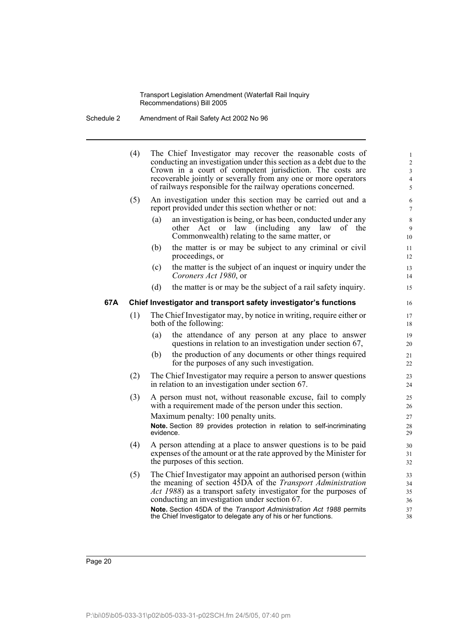Schedule 2 Amendment of Rail Safety Act 2002 No 96

|     | (4) |           | The Chief Investigator may recover the reasonable costs of<br>conducting an investigation under this section as a debt due to the<br>Crown in a court of competent jurisdiction. The costs are<br>recoverable jointly or severally from any one or more operators<br>of railways responsible for the railway operations concerned. | $\mathbf{1}$<br>$\overline{c}$<br>$\overline{\mathbf{3}}$<br>$\overline{4}$<br>5 |
|-----|-----|-----------|------------------------------------------------------------------------------------------------------------------------------------------------------------------------------------------------------------------------------------------------------------------------------------------------------------------------------------|----------------------------------------------------------------------------------|
|     | (5) |           | An investigation under this section may be carried out and a<br>report provided under this section whether or not:                                                                                                                                                                                                                 | 6<br>$\tau$                                                                      |
|     |     | (a)       | an investigation is being, or has been, conducted under any<br>Act or law (including<br>law<br>other<br>any<br>οf<br>the<br>Commonwealth) relating to the same matter, or                                                                                                                                                          | 8<br>9<br>10                                                                     |
|     |     | (b)       | the matter is or may be subject to any criminal or civil<br>proceedings, or                                                                                                                                                                                                                                                        | 11<br>12                                                                         |
|     |     | (c)       | the matter is the subject of an inquest or inquiry under the<br>Coroners Act 1980, or                                                                                                                                                                                                                                              | 13<br>14                                                                         |
|     |     | (d)       | the matter is or may be the subject of a rail safety inquiry.                                                                                                                                                                                                                                                                      | 15                                                                               |
| 67A |     |           | Chief Investigator and transport safety investigator's functions                                                                                                                                                                                                                                                                   | 16                                                                               |
|     | (1) |           | The Chief Investigator may, by notice in writing, require either or<br>both of the following:                                                                                                                                                                                                                                      | 17<br>18                                                                         |
|     |     | (a)       | the attendance of any person at any place to answer<br>questions in relation to an investigation under section 67,                                                                                                                                                                                                                 | 19<br>20                                                                         |
|     |     | (b)       | the production of any documents or other things required<br>for the purposes of any such investigation.                                                                                                                                                                                                                            | 21<br>22                                                                         |
|     | (2) |           | The Chief Investigator may require a person to answer questions<br>in relation to an investigation under section 67.                                                                                                                                                                                                               | 23<br>24                                                                         |
|     | (3) |           | A person must not, without reasonable excuse, fail to comply<br>with a requirement made of the person under this section.                                                                                                                                                                                                          | 25<br>26                                                                         |
|     |     |           | Maximum penalty: 100 penalty units.                                                                                                                                                                                                                                                                                                | 27                                                                               |
|     |     | evidence. | Note. Section 89 provides protection in relation to self-incriminating                                                                                                                                                                                                                                                             | 28<br>29                                                                         |
|     | (4) |           | A person attending at a place to answer questions is to be paid<br>expenses of the amount or at the rate approved by the Minister for<br>the purposes of this section.                                                                                                                                                             | 30<br>31<br>32                                                                   |
|     | (5) |           | The Chief Investigator may appoint an authorised person (within<br>the meaning of section 45DA of the <i>Transport Administration</i><br>Act 1988) as a transport safety investigator for the purposes of<br>conducting an investigation under section 67.                                                                         | 33<br>34<br>35<br>36                                                             |
|     |     |           | Note. Section 45DA of the Transport Administration Act 1988 permits<br>the Chief Investigator to delegate any of his or her functions.                                                                                                                                                                                             | 37<br>38                                                                         |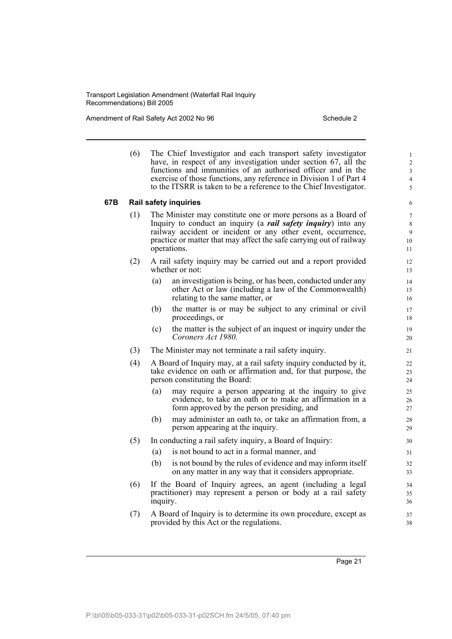Amendment of Rail Safety Act 2002 No 96 Schedule 2

(6) The Chief Investigator and each transport safety investigator have, in respect of any investigation under section 67, all the functions and immunities of an authorised officer and in the exercise of those functions, any reference in Division 1 of Part 4 to the ITSRR is taken to be a reference to the Chief Investigator.

## **67B Rail safety inquiries**

- (1) The Minister may constitute one or more persons as a Board of Inquiry to conduct an inquiry (a *rail safety inquiry*) into any railway accident or incident or any other event, occurrence, practice or matter that may affect the safe carrying out of railway operations.
- (2) A rail safety inquiry may be carried out and a report provided whether or not:
	- (a) an investigation is being, or has been, conducted under any other Act or law (including a law of the Commonwealth) relating to the same matter, or
	- (b) the matter is or may be subject to any criminal or civil proceedings, or
	- (c) the matter is the subject of an inquest or inquiry under the *Coroners Act 1980*.
- (3) The Minister may not terminate a rail safety inquiry.
- (4) A Board of Inquiry may, at a rail safety inquiry conducted by it, take evidence on oath or affirmation and, for that purpose, the person constituting the Board:
	- (a) may require a person appearing at the inquiry to give evidence, to take an oath or to make an affirmation in a form approved by the person presiding, and
	- (b) may administer an oath to, or take an affirmation from, a person appearing at the inquiry.
- (5) In conducting a rail safety inquiry, a Board of Inquiry:
	- (a) is not bound to act in a formal manner, and
	- (b) is not bound by the rules of evidence and may inform itself on any matter in any way that it considers appropriate.
- (6) If the Board of Inquiry agrees, an agent (including a legal practitioner) may represent a person or body at a rail safety inquiry.
- (7) A Board of Inquiry is to determine its own procedure, except as provided by this Act or the regulations.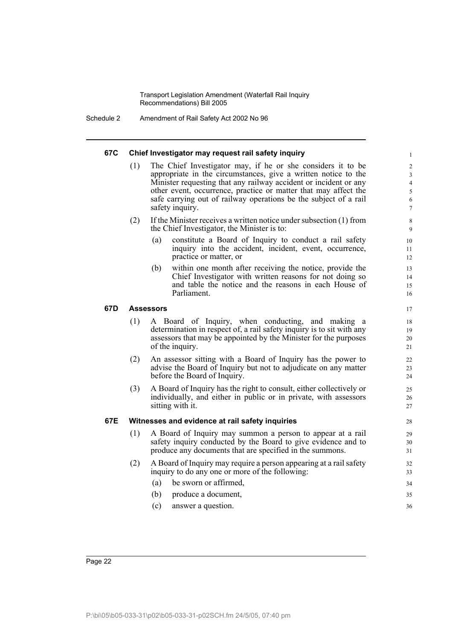Schedule 2 Amendment of Rail Safety Act 2002 No 96

## **67C Chief Investigator may request rail safety inquiry**

- (1) The Chief Investigator may, if he or she considers it to be appropriate in the circumstances, give a written notice to the Minister requesting that any railway accident or incident or any other event, occurrence, practice or matter that may affect the safe carrying out of railway operations be the subject of a rail safety inquiry.
- (2) If the Minister receives a written notice under subsection (1) from the Chief Investigator, the Minister is to:
	- (a) constitute a Board of Inquiry to conduct a rail safety inquiry into the accident, incident, event, occurrence, practice or matter, or

35 36

(b) within one month after receiving the notice, provide the Chief Investigator with written reasons for not doing so and table the notice and the reasons in each House of Parliament.

## **67D Assessors**

- (1) A Board of Inquiry, when conducting, and making a determination in respect of, a rail safety inquiry is to sit with any assessors that may be appointed by the Minister for the purposes of the inquiry.
- (2) An assessor sitting with a Board of Inquiry has the power to advise the Board of Inquiry but not to adjudicate on any matter before the Board of Inquiry.
- (3) A Board of Inquiry has the right to consult, either collectively or individually, and either in public or in private, with assessors sitting with it.

## **67E Witnesses and evidence at rail safety inquiries**

- (1) A Board of Inquiry may summon a person to appear at a rail safety inquiry conducted by the Board to give evidence and to produce any documents that are specified in the summons.
- (2) A Board of Inquiry may require a person appearing at a rail safety inquiry to do any one or more of the following:
	- (a) be sworn or affirmed, 34
	- (b) produce a document,
	- (c) answer a question.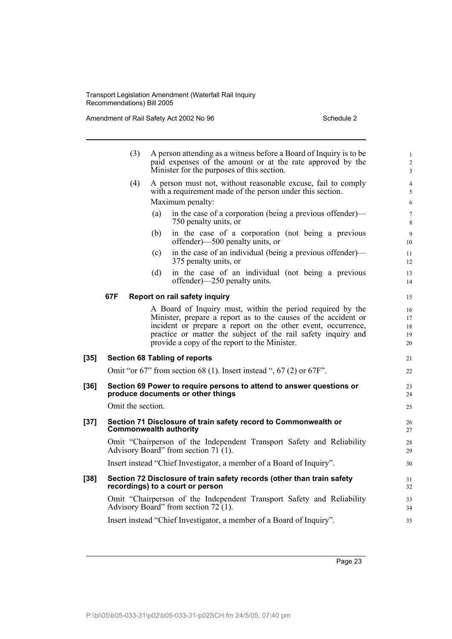Amendment of Rail Safety Act 2002 No 96 Schedule 2 Schedule 2

|      | (3)                           |     | A person attending as a witness before a Board of Inquiry is to be<br>paid expenses of the amount or at the rate approved by the<br>Minister for the purposes of this section.                                                                                                                                 | $\mathbf{1}$<br>$\overline{2}$<br>3 |
|------|-------------------------------|-----|----------------------------------------------------------------------------------------------------------------------------------------------------------------------------------------------------------------------------------------------------------------------------------------------------------------|-------------------------------------|
|      | (4)                           |     | A person must not, without reasonable excuse, fail to comply<br>with a requirement made of the person under this section.<br>Maximum penalty:                                                                                                                                                                  | $\overline{4}$<br>5<br>6            |
|      |                               | (a) | in the case of a corporation (being a previous offender)—<br>750 penalty units, or                                                                                                                                                                                                                             | $\tau$<br>8                         |
|      |                               | (b) | in the case of a corporation (not being a previous<br>offender)—500 penalty units, or                                                                                                                                                                                                                          | 9<br>10                             |
|      |                               | (c) | in the case of an individual (being a previous offender)—<br>375 penalty units, or                                                                                                                                                                                                                             | 11<br>12                            |
|      |                               | (d) | in the case of an individual (not being a previous<br>offender)-250 penalty units.                                                                                                                                                                                                                             | 13<br>14                            |
|      | 67F                           |     | Report on rail safety inquiry                                                                                                                                                                                                                                                                                  | 15                                  |
|      |                               |     | A Board of Inquiry must, within the period required by the<br>Minister, prepare a report as to the causes of the accident or<br>incident or prepare a report on the other event, occurrence,<br>practice or matter the subject of the rail safety inquiry and<br>provide a copy of the report to the Minister. | 16<br>17<br>18<br>19<br>20          |
| [35] |                               |     | <b>Section 68 Tabling of reports</b>                                                                                                                                                                                                                                                                           | 21                                  |
|      |                               |     | Omit "or 67" from section 68 (1). Insert instead ", 67 (2) or 67F".                                                                                                                                                                                                                                            | 22                                  |
| [36] |                               |     | Section 69 Power to require persons to attend to answer questions or<br>produce documents or other things                                                                                                                                                                                                      | 23<br>24                            |
|      | Omit the section.             |     |                                                                                                                                                                                                                                                                                                                | 25                                  |
| [37] | <b>Commonwealth authority</b> |     | Section 71 Disclosure of train safety record to Commonwealth or                                                                                                                                                                                                                                                | 26<br>27                            |
|      |                               |     | Omit "Chairperson of the Independent Transport Safety and Reliability<br>Advisory Board" from section $71(1)$ .                                                                                                                                                                                                | 28<br>29                            |
|      |                               |     | Insert instead "Chief Investigator, a member of a Board of Inquiry".                                                                                                                                                                                                                                           | 30                                  |
| [38] |                               |     | Section 72 Disclosure of train safety records (other than train safety<br>recordings) to a court or person                                                                                                                                                                                                     | 31<br>32                            |
|      |                               |     | Omit "Chairperson of the Independent Transport Safety and Reliability<br>Advisory Board" from section $72(1)$ .                                                                                                                                                                                                | 33<br>34                            |
|      |                               |     | Insert instead "Chief Investigator, a member of a Board of Inquiry".                                                                                                                                                                                                                                           | 35                                  |
|      |                               |     |                                                                                                                                                                                                                                                                                                                |                                     |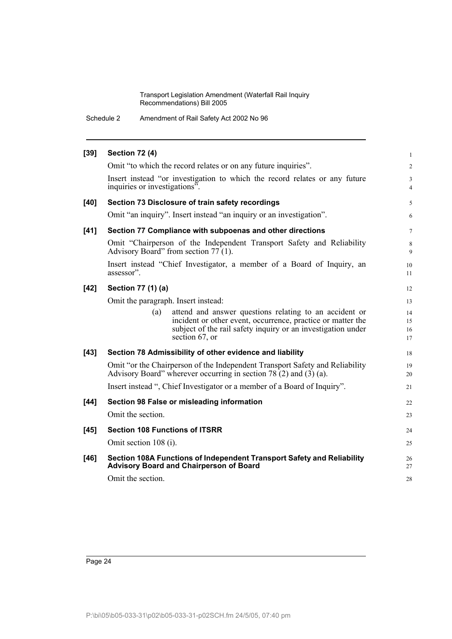Schedule 2 Amendment of Rail Safety Act 2002 No 96

| $[39]$ | <b>Section 72 (4)</b>                                                                                                                                | $\mathbf{1}$ |
|--------|------------------------------------------------------------------------------------------------------------------------------------------------------|--------------|
|        | Omit "to which the record relates or on any future inquiries".                                                                                       | $\sqrt{2}$   |
|        | Insert instead "or investigation to which the record relates or any future<br>inquiries or investigations".                                          | 3<br>4       |
| [40]   | Section 73 Disclosure of train safety recordings                                                                                                     | 5            |
|        | Omit "an inquiry". Insert instead "an inquiry or an investigation".                                                                                  | 6            |
| $[41]$ | Section 77 Compliance with subpoenas and other directions                                                                                            | 7            |
|        | Omit "Chairperson of the Independent Transport Safety and Reliability<br>Advisory Board" from section $77(1)$ .                                      | 8<br>9       |
|        | Insert instead "Chief Investigator, a member of a Board of Inquiry, an<br>assessor".                                                                 | 10<br>11     |
| $[42]$ | Section 77 (1) (a)                                                                                                                                   | 12           |
|        | Omit the paragraph. Insert instead:                                                                                                                  | 13           |
|        | attend and answer questions relating to an accident or<br>(a)                                                                                        | 14           |
|        | incident or other event, occurrence, practice or matter the                                                                                          | 15           |
|        | subject of the rail safety inquiry or an investigation under<br>section 67, or                                                                       | 16<br>17     |
| $[43]$ | Section 78 Admissibility of other evidence and liability                                                                                             | 18           |
|        | Omit "or the Chairperson of the Independent Transport Safety and Reliability<br>Advisory Board" wherever occurring in section $78(2)$ and $(3)(a)$ . | 19<br>20     |
|        | Insert instead ", Chief Investigator or a member of a Board of Inquiry".                                                                             | 21           |
| $[44]$ | Section 98 False or misleading information                                                                                                           | 22           |
|        | Omit the section.                                                                                                                                    | 23           |
| $[45]$ | <b>Section 108 Functions of ITSRR</b>                                                                                                                | 24           |
|        | Omit section 108 (i).                                                                                                                                | 25           |
| [46]   | Section 108A Functions of Independent Transport Safety and Reliability<br><b>Advisory Board and Chairperson of Board</b>                             | 26<br>27     |
|        | Omit the section.                                                                                                                                    | 28           |
|        |                                                                                                                                                      |              |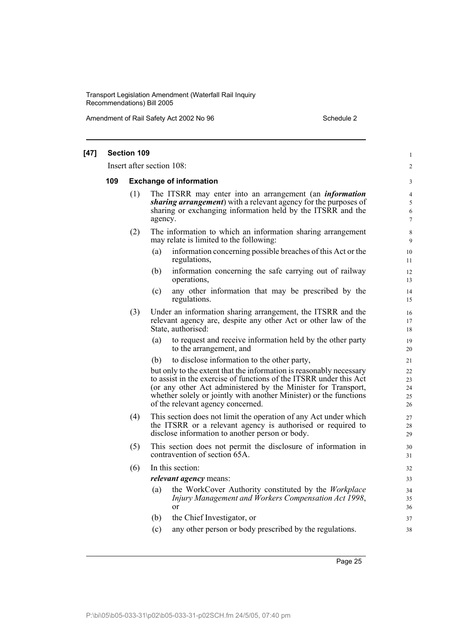Amendment of Rail Safety Act 2002 No 96 Schedule 2 Schedule 2

|     | Section 109 |                                                                                                                                                                                                                                                                                                                      |  |
|-----|-------------|----------------------------------------------------------------------------------------------------------------------------------------------------------------------------------------------------------------------------------------------------------------------------------------------------------------------|--|
|     |             | Insert after section 108:                                                                                                                                                                                                                                                                                            |  |
| 109 |             | <b>Exchange of information</b>                                                                                                                                                                                                                                                                                       |  |
|     | (1)         | The ITSRR may enter into an arrangement (an <i>information</i><br><i>sharing arrangement</i> ) with a relevant agency for the purposes of<br>sharing or exchanging information held by the ITSRR and the<br>agency.                                                                                                  |  |
|     | (2)         | The information to which an information sharing arrangement<br>may relate is limited to the following:                                                                                                                                                                                                               |  |
|     |             | information concerning possible breaches of this Act or the<br>(a)<br>regulations,                                                                                                                                                                                                                                   |  |
|     |             | information concerning the safe carrying out of railway<br>(b)<br>operations,                                                                                                                                                                                                                                        |  |
|     |             | any other information that may be prescribed by the<br>(c)<br>regulations.                                                                                                                                                                                                                                           |  |
|     | (3)         | Under an information sharing arrangement, the ITSRR and the<br>relevant agency are, despite any other Act or other law of the<br>State, authorised:                                                                                                                                                                  |  |
|     |             | to request and receive information held by the other party<br>(a)<br>to the arrangement, and                                                                                                                                                                                                                         |  |
|     |             | to disclose information to the other party,<br>(b)                                                                                                                                                                                                                                                                   |  |
|     |             | but only to the extent that the information is reasonably necessary<br>to assist in the exercise of functions of the ITSRR under this Act<br>(or any other Act administered by the Minister for Transport,<br>whether solely or jointly with another Minister) or the functions<br>of the relevant agency concerned. |  |
|     | (4)         | This section does not limit the operation of any Act under which<br>the ITSRR or a relevant agency is authorised or required to<br>disclose information to another person or body.                                                                                                                                   |  |
|     | (5)         | This section does not permit the disclosure of information in<br>contravention of section 65A.                                                                                                                                                                                                                       |  |
|     | (6)         | In this section:                                                                                                                                                                                                                                                                                                     |  |
|     |             | <i>relevant agency</i> means:                                                                                                                                                                                                                                                                                        |  |
|     |             | the WorkCover Authority constituted by the Workplace<br>(a)<br>Injury Management and Workers Compensation Act 1998,<br>or                                                                                                                                                                                            |  |
|     |             | the Chief Investigator, or<br>(b)                                                                                                                                                                                                                                                                                    |  |
|     |             | any other person or body prescribed by the regulations.<br>(c)                                                                                                                                                                                                                                                       |  |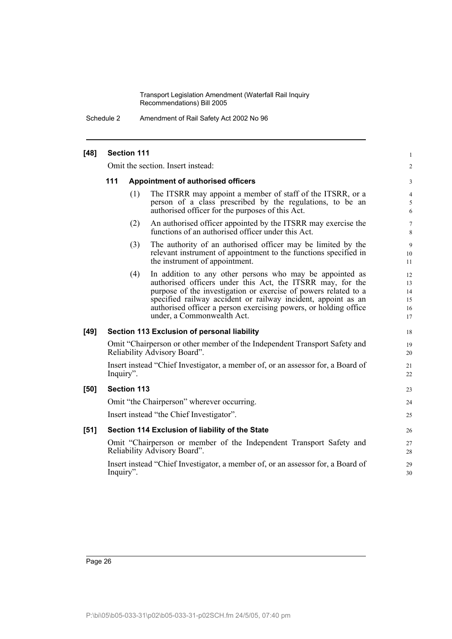Schedule 2 Amendment of Rail Safety Act 2002 No 96

### **[48] Section 111** Omit the section. Insert instead: **111 Appointment of authorised officers** (1) The ITSRR may appoint a member of staff of the ITSRR, or a person of a class prescribed by the regulations, to be an authorised officer for the purposes of this Act. (2) An authorised officer appointed by the ITSRR may exercise the functions of an authorised officer under this Act. (3) The authority of an authorised officer may be limited by the relevant instrument of appointment to the functions specified in the instrument of appointment. (4) In addition to any other persons who may be appointed as authorised officers under this Act, the ITSRR may, for the purpose of the investigation or exercise of powers related to a specified railway accident or railway incident, appoint as an authorised officer a person exercising powers, or holding office under, a Commonwealth Act. **[49] Section 113 Exclusion of personal liability** Omit "Chairperson or other member of the Independent Transport Safety and Reliability Advisory Board". Insert instead "Chief Investigator, a member of, or an assessor for, a Board of Inquiry". **[50] Section 113** Omit "the Chairperson" wherever occurring. Insert instead "the Chief Investigator". **[51] Section 114 Exclusion of liability of the State** Omit "Chairperson or member of the Independent Transport Safety and Reliability Advisory Board". Insert instead "Chief Investigator, a member of, or an assessor for, a Board of Inquiry". 1  $\mathfrak{Z}$ 3 4 5 6 7 8  $\overline{Q}$ 10 11 12 13 14 15 16 17 18 19 20 21  $22$ 23 24 25 26 27 28 29 30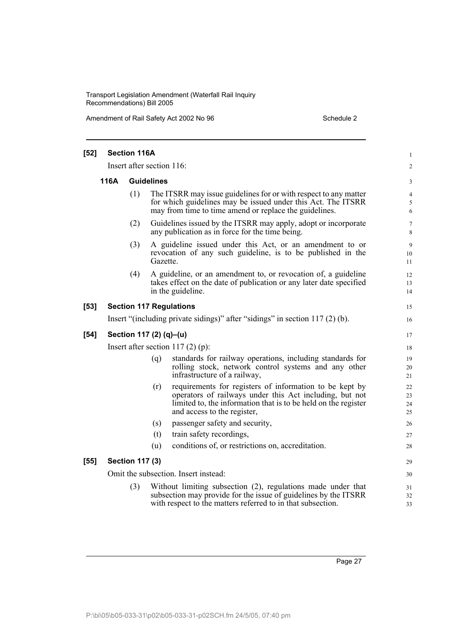Amendment of Rail Safety Act 2002 No 96 Schedule 2 Schedule 2

| $[52]$ |      | <b>Section 116A</b>                  |                   |                                                                                                                                                                                                                     | $\mathbf{1}$             |  |
|--------|------|--------------------------------------|-------------------|---------------------------------------------------------------------------------------------------------------------------------------------------------------------------------------------------------------------|--------------------------|--|
|        |      | Insert after section 116:            |                   |                                                                                                                                                                                                                     | $\overline{2}$           |  |
|        | 116A |                                      | <b>Guidelines</b> |                                                                                                                                                                                                                     | 3                        |  |
|        |      | (1)                                  |                   | The ITSRR may issue guidelines for or with respect to any matter<br>for which guidelines may be issued under this Act. The ITSRR<br>may from time to time amend or replace the guidelines.                          | $\overline{4}$<br>5<br>6 |  |
|        |      | (2)                                  |                   | Guidelines issued by the ITSRR may apply, adopt or incorporate<br>any publication as in force for the time being.                                                                                                   | $\overline{7}$<br>8      |  |
|        |      | (3)                                  | Gazette.          | A guideline issued under this Act, or an amendment to or<br>revocation of any such guideline, is to be published in the                                                                                             | 9<br>10<br>11            |  |
|        |      | (4)                                  |                   | A guideline, or an amendment to, or revocation of, a guideline<br>takes effect on the date of publication or any later date specified<br>in the guideline.                                                          | 12<br>13<br>14           |  |
| $[53]$ |      |                                      |                   | <b>Section 117 Regulations</b>                                                                                                                                                                                      | 15                       |  |
|        |      |                                      |                   | Insert "(including private sidings)" after "sidings" in section 117 (2) (b).                                                                                                                                        | 16                       |  |
| $[54]$ |      | Section 117 (2) (q)-(u)              |                   |                                                                                                                                                                                                                     | 17                       |  |
|        |      |                                      |                   | Insert after section 117 $(2)$ $(p)$ :                                                                                                                                                                              | 18                       |  |
|        |      |                                      | (q)               | standards for railway operations, including standards for<br>rolling stock, network control systems and any other<br>infrastructure of a railway,                                                                   | 19<br>20<br>21           |  |
|        |      |                                      | (r)               | requirements for registers of information to be kept by<br>operators of railways under this Act including, but not<br>limited to, the information that is to be held on the register<br>and access to the register, | 22<br>23<br>24<br>25     |  |
|        |      |                                      | (s)               | passenger safety and security,                                                                                                                                                                                      | 26                       |  |
|        |      |                                      | (t)               | train safety recordings,                                                                                                                                                                                            | 27                       |  |
|        |      |                                      | (u)               | conditions of, or restrictions on, accreditation.                                                                                                                                                                   | 28                       |  |
| $[55]$ |      | <b>Section 117 (3)</b>               |                   |                                                                                                                                                                                                                     | 29                       |  |
|        |      | Omit the subsection. Insert instead: |                   |                                                                                                                                                                                                                     |                          |  |
|        |      | (3)                                  |                   | Without limiting subsection (2), regulations made under that<br>subsection may provide for the issue of guidelines by the ITSRR<br>with respect to the matters referred to in that subsection.                      | 31<br>32<br>33           |  |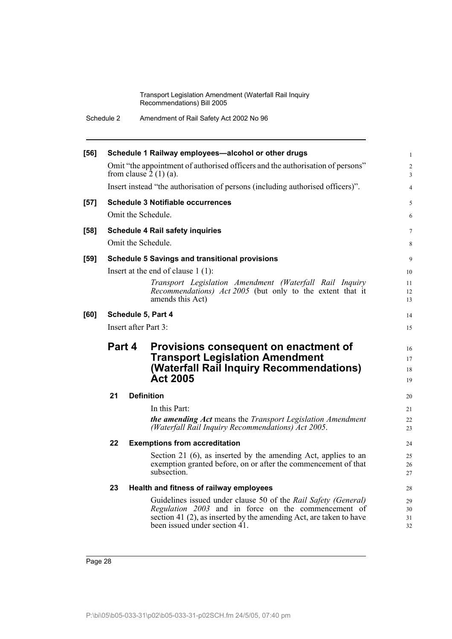| $[56]$ |        | Schedule 1 Railway employees-alcohol or other drugs                                                       | $\mathbf{1}$        |
|--------|--------|-----------------------------------------------------------------------------------------------------------|---------------------|
|        |        | Omit "the appointment of authorised officers and the authorisation of persons"<br>from clause $2(1)(a)$ . | $\overline{c}$<br>3 |
|        |        | Insert instead "the authorisation of persons (including authorised officers)".                            | $\overline{4}$      |
| $[57]$ |        | <b>Schedule 3 Notifiable occurrences</b>                                                                  | 5                   |
|        |        | Omit the Schedule.                                                                                        | 6                   |
| $[58]$ |        | <b>Schedule 4 Rail safety inquiries</b>                                                                   | $\tau$              |
|        |        | Omit the Schedule.                                                                                        | 8                   |
| [59]   |        | <b>Schedule 5 Savings and transitional provisions</b>                                                     | 9                   |
|        |        | Insert at the end of clause $1(1)$ :                                                                      | 10                  |
|        |        | Transport Legislation Amendment (Waterfall Rail Inquiry                                                   | 11                  |
|        |        | Recommendations) Act 2005 (but only to the extent that it                                                 | 12                  |
|        |        | amends this Act)                                                                                          | 13                  |
| [60]   |        | Schedule 5, Part 4                                                                                        | 14                  |
|        |        | Insert after Part 3:                                                                                      | 15                  |
|        |        |                                                                                                           |                     |
|        | Part 4 |                                                                                                           | 16                  |
|        |        | Provisions consequent on enactment of<br><b>Transport Legislation Amendment</b>                           | 17                  |
|        |        | (Waterfall Rail Inquiry Recommendations)                                                                  | 18                  |
|        |        | <b>Act 2005</b>                                                                                           | 19                  |
|        | 21     | <b>Definition</b>                                                                                         | 20                  |
|        |        | In this Part:                                                                                             | 21                  |
|        |        | the amending Act means the Transport Legislation Amendment                                                | 22                  |
|        |        | (Waterfall Rail Inquiry Recommendations) Act 2005.                                                        | 23                  |
|        | 22     | <b>Exemptions from accreditation</b>                                                                      | 24                  |
|        |        | Section 21 (6), as inserted by the amending Act, applies to an                                            | 25                  |
|        |        | exemption granted before, on or after the commencement of that                                            | 26                  |
|        |        | subsection.                                                                                               | 27                  |
|        | 23     | Health and fitness of railway employees                                                                   | 28                  |
|        |        | Guidelines issued under clause 50 of the Rail Safety (General)                                            | 29                  |
|        |        | Regulation 2003 and in force on the commencement of                                                       | 30                  |
|        |        | section 41 (2), as inserted by the amending Act, are taken to have<br>been issued under section 41.       | 31<br>32            |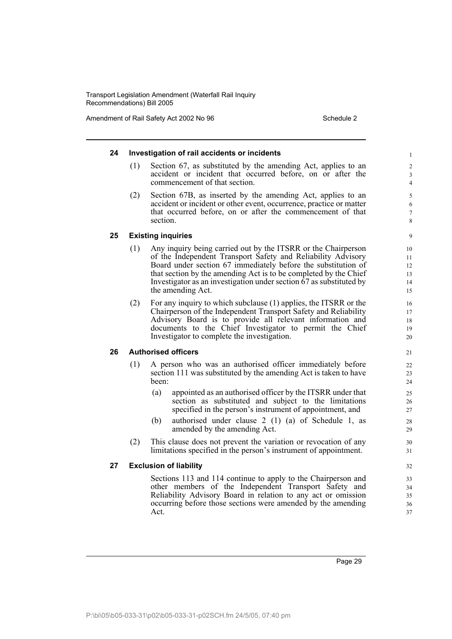Amendment of Rail Safety Act 2002 No 96 Schedule 2

#### **24 Investigation of rail accidents or incidents** (1) Section 67, as substituted by the amending Act, applies to an accident or incident that occurred before, on or after the commencement of that section. (2) Section 67B, as inserted by the amending Act, applies to an accident or incident or other event, occurrence, practice or matter that occurred before, on or after the commencement of that section. **25 Existing inquiries** (1) Any inquiry being carried out by the ITSRR or the Chairperson of the Independent Transport Safety and Reliability Advisory Board under section 67 immediately before the substitution of that section by the amending Act is to be completed by the Chief Investigator as an investigation under section 67 as substituted by the amending Act. (2) For any inquiry to which subclause (1) applies, the ITSRR or the Chairperson of the Independent Transport Safety and Reliability Advisory Board is to provide all relevant information and documents to the Chief Investigator to permit the Chief Investigator to complete the investigation. **26 Authorised officers** (1) A person who was an authorised officer immediately before section 111 was substituted by the amending Act is taken to have been: (a) appointed as an authorised officer by the ITSRR under that section as substituted and subject to the limitations specified in the person's instrument of appointment, and (b) authorised under clause 2 (1) (a) of Schedule 1, as amended by the amending Act. (2) This clause does not prevent the variation or revocation of any limitations specified in the person's instrument of appointment. **27 Exclusion of liability** Sections 113 and 114 continue to apply to the Chairperson and other members of the Independent Transport Safety and 1  $\mathfrak{Z}$ 3 4 5 6 7 8  $\overline{Q}$ 10 11 12 13 14 15 16 17 18 19 20 21 22 23 24  $25$  $26$  $27$ 28 29 30 31 32 33 34 35

Reliability Advisory Board in relation to any act or omission occurring before those sections were amended by the amending Act.

Page 29

36 37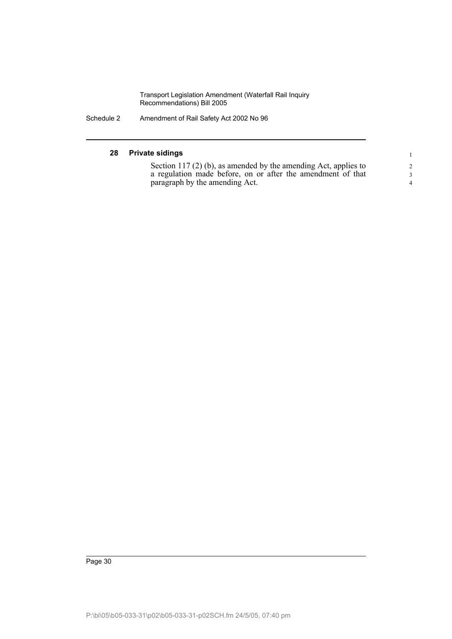Schedule 2 Amendment of Rail Safety Act 2002 No 96

## **28 Private sidings**

Section 117 (2) (b), as amended by the amending Act, applies to a regulation made before, on or after the amendment of that paragraph by the amending Act.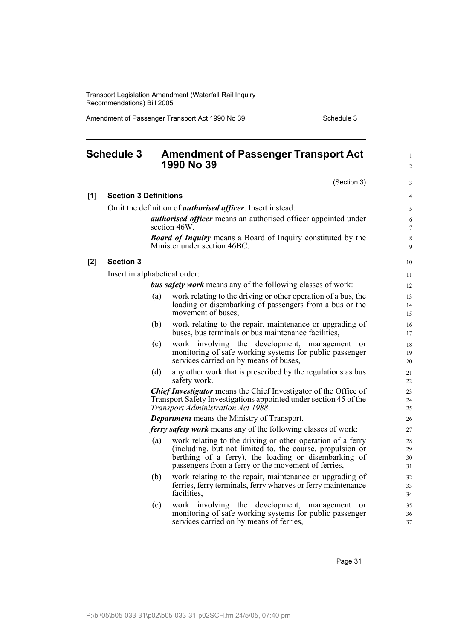Amendment of Passenger Transport Act 1990 No 39 Schedule 3

#### <span id="page-40-0"></span>**Schedule 3 Amendment of Passenger Transport Act 1990 No 39** (Section 3) **[1] Section 3 Definitions** Omit the definition of *authorised officer*. Insert instead: *authorised officer* means an authorised officer appointed under section 46W. *Board of Inquiry* means a Board of Inquiry constituted by the Minister under section 46BC. **[2] Section 3** Insert in alphabetical order: *bus safety work* means any of the following classes of work: (a) work relating to the driving or other operation of a bus, the loading or disembarking of passengers from a bus or the movement of buses, (b) work relating to the repair, maintenance or upgrading of buses, bus terminals or bus maintenance facilities, (c) work involving the development, management or monitoring of safe working systems for public passenger services carried on by means of buses, (d) any other work that is prescribed by the regulations as bus safety work. *Chief Investigator* means the Chief Investigator of the Office of Transport Safety Investigations appointed under section 45 of the *Transport Administration Act 1988*. *Department* means the Ministry of Transport. *ferry safety work* means any of the following classes of work: (a) work relating to the driving or other operation of a ferry (including, but not limited to, the course, propulsion or berthing of a ferry), the loading or disembarking of passengers from a ferry or the movement of ferries, (b) work relating to the repair, maintenance or upgrading of ferries, ferry terminals, ferry wharves or ferry maintenance facilities, (c) work involving the development, management or monitoring of safe working systems for public passenger services carried on by means of ferries, 1  $\mathfrak{D}$ 3 4 5 6 7 8  $\alpha$ 10 11 12 13 14 15 16 17 18 19 20  $21$  $22$ 23 24  $25$ 26  $27$ 28 29 30 31 32 33 34 35 36 37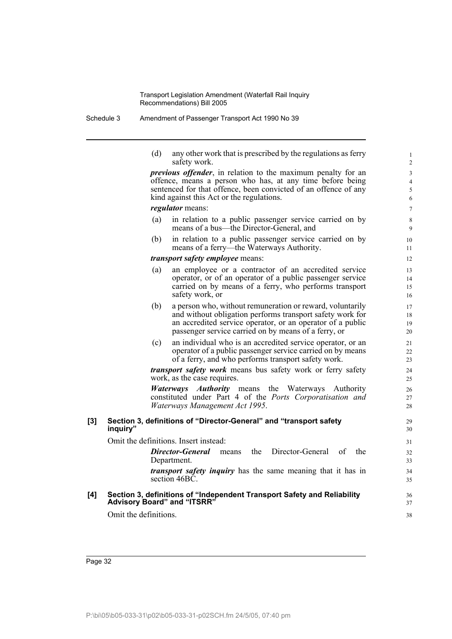Schedule 3 Amendment of Passenger Transport Act 1990 No 39

(d) any other work that is prescribed by the regulations as ferry safety work.

36 37 38

*previous offender*, in relation to the maximum penalty for an offence, means a person who has, at any time before being sentenced for that offence, been convicted of an offence of any kind against this Act or the regulations.

## *regulator* means:

- (a) in relation to a public passenger service carried on by means of a bus—the Director-General, and
- (b) in relation to a public passenger service carried on by means of a ferry—the Waterways Authority.

## *transport safety employee* means:

- (a) an employee or a contractor of an accredited service operator, or of an operator of a public passenger service carried on by means of a ferry, who performs transport safety work, or
- (b) a person who, without remuneration or reward, voluntarily and without obligation performs transport safety work for an accredited service operator, or an operator of a public passenger service carried on by means of a ferry, or
- (c) an individual who is an accredited service operator, or an operator of a public passenger service carried on by means of a ferry, and who performs transport safety work.

*transport safety work* means bus safety work or ferry safety work, as the case requires.

*Waterways Authority* means the Waterways Authority constituted under Part 4 of the *Ports Corporatisation and Waterways Management Act 1995*.

## **[3] Section 3, definitions of "Director-General" and "transport safety inquiry"**

Omit the definitions. Insert instead:

*Director-General* means the Director-General of the Department.

*transport safety inquiry* has the same meaning that it has in section 46BC.

## **[4] Section 3, definitions of "Independent Transport Safety and Reliability Advisory Board" and "ITSRR"**

Omit the definitions.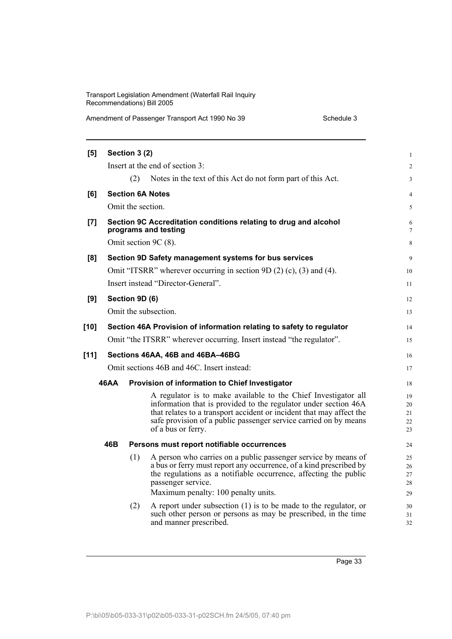| Amendment of Passenger Transport Act 1990 No 39 | Schedule 3 |
|-------------------------------------------------|------------|
|-------------------------------------------------|------------|

| [5]  |             | Section 3 (2)     |                                                                                                                                                                                                                                                                                                     |
|------|-------------|-------------------|-----------------------------------------------------------------------------------------------------------------------------------------------------------------------------------------------------------------------------------------------------------------------------------------------------|
|      |             |                   | Insert at the end of section 3:                                                                                                                                                                                                                                                                     |
|      |             | (2)               | Notes in the text of this Act do not form part of this Act.                                                                                                                                                                                                                                         |
| [6]  |             |                   | <b>Section 6A Notes</b>                                                                                                                                                                                                                                                                             |
|      |             | Omit the section. |                                                                                                                                                                                                                                                                                                     |
| [7]  |             |                   | Section 9C Accreditation conditions relating to drug and alcohol<br>programs and testing                                                                                                                                                                                                            |
|      |             |                   | Omit section 9C (8).                                                                                                                                                                                                                                                                                |
| [8]  |             |                   | Section 9D Safety management systems for bus services                                                                                                                                                                                                                                               |
|      |             |                   | Omit "ITSRR" wherever occurring in section 9D $(2)$ $(c)$ , $(3)$ and $(4)$ .                                                                                                                                                                                                                       |
|      |             |                   | Insert instead "Director-General".                                                                                                                                                                                                                                                                  |
| [9]  |             | Section 9D (6)    |                                                                                                                                                                                                                                                                                                     |
|      |             |                   | Omit the subsection.                                                                                                                                                                                                                                                                                |
| [10] |             |                   | Section 46A Provision of information relating to safety to regulator                                                                                                                                                                                                                                |
|      |             |                   | Omit "the ITSRR" wherever occurring. Insert instead "the regulator".                                                                                                                                                                                                                                |
| [11] |             |                   | Sections 46AA, 46B and 46BA-46BG                                                                                                                                                                                                                                                                    |
|      |             |                   | Omit sections 46B and 46C. Insert instead:                                                                                                                                                                                                                                                          |
|      | <b>46AA</b> |                   | Provision of information to Chief Investigator                                                                                                                                                                                                                                                      |
|      |             |                   | A regulator is to make available to the Chief Investigator all<br>information that is provided to the regulator under section 46A<br>that relates to a transport accident or incident that may affect the<br>safe provision of a public passenger service carried on by means<br>of a bus or ferry. |
|      | 46B         |                   | Persons must report notifiable occurrences                                                                                                                                                                                                                                                          |
|      |             | (1)               | A person who carries on a public passenger service by means of<br>a bus or ferry must report any occurrence, of a kind prescribed by<br>the regulations as a notifiable occurrence, affecting the public<br>passenger service.<br>Maximum penalty: 100 penalty units.                               |
|      |             | (2)               | A report under subsection $(1)$ is to be made to the regulator, or<br>such other person or persons as may be prescribed, in the time<br>and manner prescribed.                                                                                                                                      |
|      |             |                   |                                                                                                                                                                                                                                                                                                     |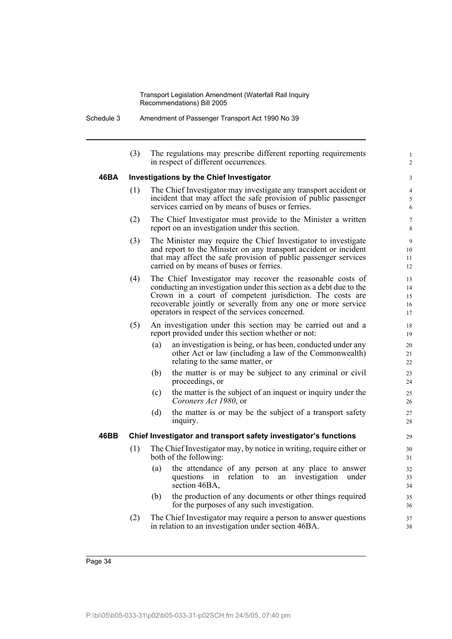- Schedule 3 Amendment of Passenger Transport Act 1990 No 39
	- (3) The regulations may prescribe different reporting requirements in respect of different occurrences. **46BA Investigations by the Chief Investigator** (1) The Chief Investigator may investigate any transport accident or incident that may affect the safe provision of public passenger services carried on by means of buses or ferries. (2) The Chief Investigator must provide to the Minister a written report on an investigation under this section. (3) The Minister may require the Chief Investigator to investigate and report to the Minister on any transport accident or incident that may affect the safe provision of public passenger services carried on by means of buses or ferries. (4) The Chief Investigator may recover the reasonable costs of conducting an investigation under this section as a debt due to the Crown in a court of competent jurisdiction. The costs are recoverable jointly or severally from any one or more service operators in respect of the services concerned. (5) An investigation under this section may be carried out and a report provided under this section whether or not: (a) an investigation is being, or has been, conducted under any other Act or law (including a law of the Commonwealth) relating to the same matter, or (b) the matter is or may be subject to any criminal or civil proceedings, or (c) the matter is the subject of an inquest or inquiry under the *Coroners Act 1980*, or (d) the matter is or may be the subject of a transport safety inquiry. **46BB Chief Investigator and transport safety investigator's functions** (1) The Chief Investigator may, by notice in writing, require either or both of the following: 10 11 12 13 14 15 16 17 18 19 20 21 22 23 24  $25$  $26$ 27 28 29 30 31

1  $\overline{2}$ 

- (a) the attendance of any person at any place to answer questions in relation to an investigation under section 46BA,
- (b) the production of any documents or other things required for the purposes of any such investigation.
- (2) The Chief Investigator may require a person to answer questions in relation to an investigation under section 46BA.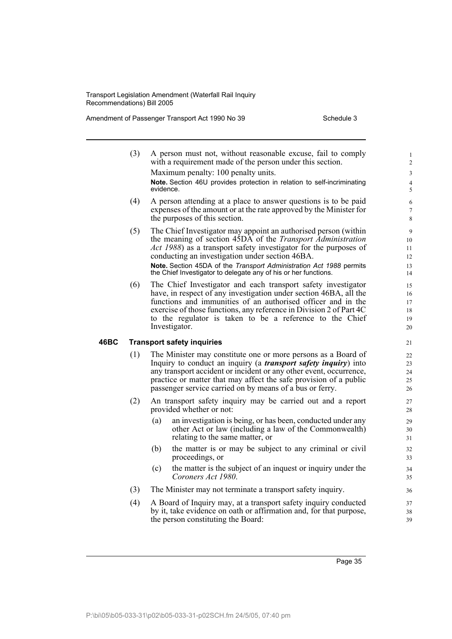Amendment of Passenger Transport Act 1990 No 39 Schedule 3

- (3) A person must not, without reasonable excuse, fail to comply with a requirement made of the person under this section. Maximum penalty: 100 penalty units. **Note.** Section 46U provides protection in relation to self-incriminating evidence.
- (4) A person attending at a place to answer questions is to be paid expenses of the amount or at the rate approved by the Minister for the purposes of this section.
- (5) The Chief Investigator may appoint an authorised person (within the meaning of section 45DA of the *Transport Administration Act 1988*) as a transport safety investigator for the purposes of conducting an investigation under section 46BA. **Note.** Section 45DA of the *Transport Administration Act 1988* permits the Chief Investigator to delegate any of his or her functions.
- (6) The Chief Investigator and each transport safety investigator have, in respect of any investigation under section 46BA, all the functions and immunities of an authorised officer and in the exercise of those functions, any reference in Division 2 of Part 4C to the regulator is taken to be a reference to the Chief Investigator.

## **46BC Transport safety inquiries**

- (1) The Minister may constitute one or more persons as a Board of Inquiry to conduct an inquiry (a *transport safety inquiry*) into any transport accident or incident or any other event, occurrence, practice or matter that may affect the safe provision of a public passenger service carried on by means of a bus or ferry.
- (2) An transport safety inquiry may be carried out and a report provided whether or not:
	- (a) an investigation is being, or has been, conducted under any other Act or law (including a law of the Commonwealth) relating to the same matter, or
	- (b) the matter is or may be subject to any criminal or civil proceedings, or
	- (c) the matter is the subject of an inquest or inquiry under the *Coroners Act 1980*.
- (3) The Minister may not terminate a transport safety inquiry.
- (4) A Board of Inquiry may, at a transport safety inquiry conducted by it, take evidence on oath or affirmation and, for that purpose, the person constituting the Board: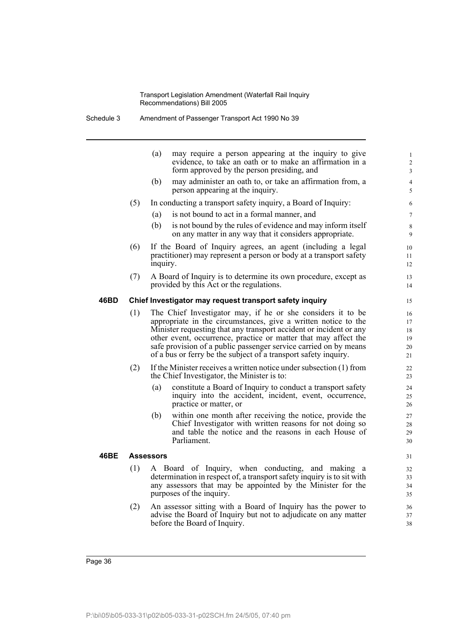|      |                  | may require a person appearing at the inquiry to give<br>(a)<br>evidence, to take an oath or to make an affirmation in a<br>form approved by the person presiding, and                                                                                                                                                                                                                                        |
|------|------------------|---------------------------------------------------------------------------------------------------------------------------------------------------------------------------------------------------------------------------------------------------------------------------------------------------------------------------------------------------------------------------------------------------------------|
|      |                  | may administer an oath to, or take an affirmation from, a<br>(b)<br>person appearing at the inquiry.                                                                                                                                                                                                                                                                                                          |
|      | (5)              | In conducting a transport safety inquiry, a Board of Inquiry:                                                                                                                                                                                                                                                                                                                                                 |
|      |                  | is not bound to act in a formal manner, and<br>(a)                                                                                                                                                                                                                                                                                                                                                            |
|      |                  | is not bound by the rules of evidence and may inform itself<br>(b)<br>on any matter in any way that it considers appropriate.                                                                                                                                                                                                                                                                                 |
|      | (6)              | If the Board of Inquiry agrees, an agent (including a legal<br>practitioner) may represent a person or body at a transport safety<br>inquiry.                                                                                                                                                                                                                                                                 |
|      | (7)              | A Board of Inquiry is to determine its own procedure, except as<br>provided by this Act or the regulations.                                                                                                                                                                                                                                                                                                   |
| 46BD |                  | Chief Investigator may request transport safety inquiry                                                                                                                                                                                                                                                                                                                                                       |
|      | (1)              | The Chief Investigator may, if he or she considers it to be<br>appropriate in the circumstances, give a written notice to the<br>Minister requesting that any transport accident or incident or any<br>other event, occurrence, practice or matter that may affect the<br>safe provision of a public passenger service carried on by means<br>of a bus or ferry be the subject of a transport safety inquiry. |
|      | (2)              | If the Minister receives a written notice under subsection (1) from<br>the Chief Investigator, the Minister is to:                                                                                                                                                                                                                                                                                            |
|      |                  | constitute a Board of Inquiry to conduct a transport safety<br>(a)<br>inquiry into the accident, incident, event, occurrence,<br>practice or matter, or                                                                                                                                                                                                                                                       |
|      |                  | (b)<br>within one month after receiving the notice, provide the<br>Chief Investigator with written reasons for not doing so<br>and table the notice and the reasons in each House of<br>Parliament.                                                                                                                                                                                                           |
| 46BE | <b>Assessors</b> |                                                                                                                                                                                                                                                                                                                                                                                                               |
|      | (1)              | A Board of Inquiry, when conducting, and making a<br>determination in respect of, a transport safety inquiry is to sit with<br>any assessors that may be appointed by the Minister for the<br>purposes of the inquiry.                                                                                                                                                                                        |
|      | (2)              | An assessor sitting with a Board of Inquiry has the power to<br>advise the Board of Inquiry but not to adjudicate on any matter<br>before the Board of Inquiry.                                                                                                                                                                                                                                               |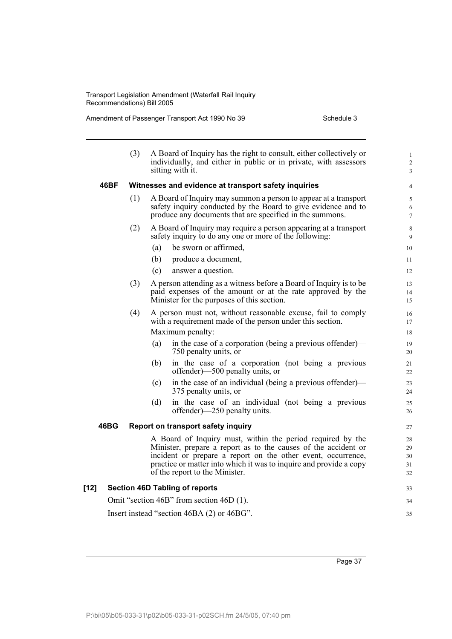Amendment of Passenger Transport Act 1990 No 39 Schedule 3

|        |      | (3) | A Board of Inquiry has the right to consult, either collectively or<br>individually, and either in public or in private, with assessors<br>sitting with it.                                                                                                                                          | $\mathbf{1}$<br>$\overline{c}$<br>3 |
|--------|------|-----|------------------------------------------------------------------------------------------------------------------------------------------------------------------------------------------------------------------------------------------------------------------------------------------------------|-------------------------------------|
|        | 46BF |     | Witnesses and evidence at transport safety inquiries                                                                                                                                                                                                                                                 | 4                                   |
|        |      | (1) | A Board of Inquiry may summon a person to appear at a transport<br>safety inquiry conducted by the Board to give evidence and to<br>produce any documents that are specified in the summons.                                                                                                         | 5<br>6<br>$\overline{7}$            |
|        |      | (2) | A Board of Inquiry may require a person appearing at a transport<br>safety inquiry to do any one or more of the following:                                                                                                                                                                           | 8<br>9                              |
|        |      |     | be sworn or affirmed,<br>(a)                                                                                                                                                                                                                                                                         | 10                                  |
|        |      |     | (b)<br>produce a document,                                                                                                                                                                                                                                                                           | 11                                  |
|        |      |     | answer a question.<br>(c)                                                                                                                                                                                                                                                                            | 12                                  |
|        |      | (3) | A person attending as a witness before a Board of Inquiry is to be<br>paid expenses of the amount or at the rate approved by the<br>Minister for the purposes of this section.                                                                                                                       | 13<br>14<br>15                      |
|        |      | (4) | A person must not, without reasonable excuse, fail to comply<br>with a requirement made of the person under this section.<br>Maximum penalty:                                                                                                                                                        | 16<br>17<br>18                      |
|        |      |     | in the case of a corporation (being a previous offender)—<br>(a)<br>750 penalty units, or                                                                                                                                                                                                            | 19<br>20                            |
|        |      |     | in the case of a corporation (not being a previous<br>(b)<br>offender)-500 penalty units, or                                                                                                                                                                                                         | 21<br>22                            |
|        |      |     | in the case of an individual (being a previous offender)—<br>(c)<br>375 penalty units, or                                                                                                                                                                                                            | 23<br>24                            |
|        |      |     | in the case of an individual (not being a previous<br>(d)<br>offender)—250 penalty units.                                                                                                                                                                                                            | 25<br>26                            |
|        | 46BG |     | <b>Report on transport safety inquiry</b>                                                                                                                                                                                                                                                            | 27                                  |
|        |      |     | A Board of Inquiry must, within the period required by the<br>Minister, prepare a report as to the causes of the accident or<br>incident or prepare a report on the other event, occurrence,<br>practice or matter into which it was to inquire and provide a copy<br>of the report to the Minister. | 28<br>29<br>30<br>31<br>32          |
| $[12]$ |      |     | <b>Section 46D Tabling of reports</b>                                                                                                                                                                                                                                                                | 33                                  |
|        |      |     | Omit "section 46B" from section 46D (1).                                                                                                                                                                                                                                                             | 34                                  |
|        |      |     | Insert instead "section 46BA (2) or 46BG".                                                                                                                                                                                                                                                           | 35                                  |
|        |      |     |                                                                                                                                                                                                                                                                                                      |                                     |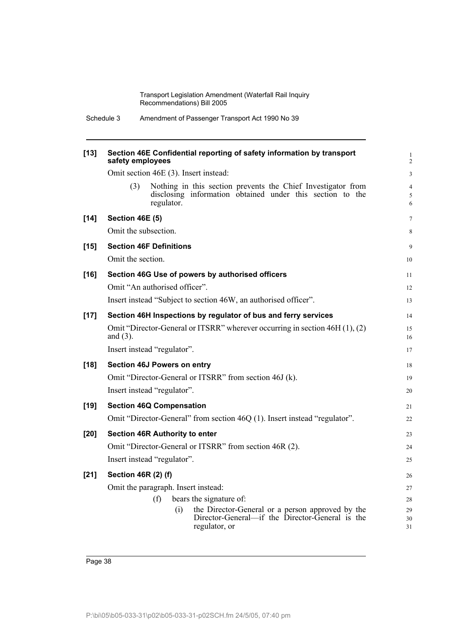Schedule 3 Amendment of Passenger Transport Act 1990 No 39

| $[13]$ | Section 46E Confidential reporting of safety information by transport<br>safety employees                                                      | 1<br>$\overline{2}$      |
|--------|------------------------------------------------------------------------------------------------------------------------------------------------|--------------------------|
|        | Omit section 46E (3). Insert instead:                                                                                                          | 3                        |
|        | Nothing in this section prevents the Chief Investigator from<br>(3)<br>disclosing information obtained under this section to the<br>regulator. | $\overline{4}$<br>5<br>6 |
| $[14]$ | Section 46E (5)                                                                                                                                | 7                        |
|        | Omit the subsection.                                                                                                                           | 8                        |
| $[15]$ | <b>Section 46F Definitions</b>                                                                                                                 | 9                        |
|        | Omit the section.                                                                                                                              | 10                       |
| $[16]$ | Section 46G Use of powers by authorised officers                                                                                               | 11                       |
|        | Omit "An authorised officer".                                                                                                                  | 12                       |
|        | Insert instead "Subject to section 46W, an authorised officer".                                                                                | 13                       |
| $[17]$ | Section 46H Inspections by regulator of bus and ferry services                                                                                 | 14                       |
|        | Omit "Director-General or ITSRR" wherever occurring in section 46H (1), (2)<br>and $(3)$ .                                                     | 15<br>16                 |
|        | Insert instead "regulator".                                                                                                                    | 17                       |
| $[18]$ | <b>Section 46J Powers on entry</b>                                                                                                             | 18                       |
|        | Omit "Director-General or ITSRR" from section 46J (k).                                                                                         | 19                       |
|        | Insert instead "regulator".                                                                                                                    | 20                       |
| $[19]$ | <b>Section 46Q Compensation</b>                                                                                                                | 21                       |
|        | Omit "Director-General" from section 46Q (1). Insert instead "regulator".                                                                      | 22                       |
| $[20]$ | <b>Section 46R Authority to enter</b>                                                                                                          | 23                       |
|        | Omit "Director-General or ITSRR" from section 46R (2).                                                                                         | 24                       |
|        | Insert instead "regulator".                                                                                                                    | 25                       |
| $[21]$ | Section 46R (2) (f)                                                                                                                            | 26                       |
|        | Omit the paragraph. Insert instead:                                                                                                            | 27                       |
|        | bears the signature of:<br>(f)                                                                                                                 | 28                       |
|        | the Director-General or a person approved by the<br>(i)                                                                                        | 29                       |
|        | Director-General—if the Director-General is the                                                                                                | 30                       |
|        | regulator, or                                                                                                                                  | 31                       |
|        |                                                                                                                                                |                          |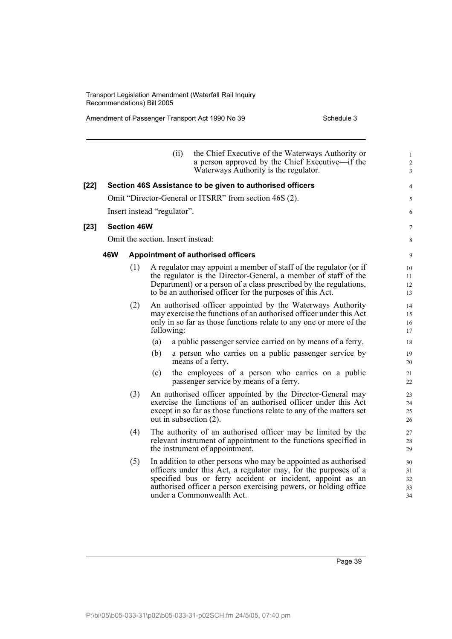Amendment of Passenger Transport Act 1990 No 39 Schedule 3

|     |     | the Chief Executive of the Waterways Authority or<br>(ii)                                |                                                                                                                                                                                               |                                                                                                                                                                                                                                                                                                                                                                                                                                                                                                                                                                                                                                                                                                                                                                                                                                                                                                                                                                                                                                                                                                                                                                                                                                                                                                                                                |
|-----|-----|------------------------------------------------------------------------------------------|-----------------------------------------------------------------------------------------------------------------------------------------------------------------------------------------------|------------------------------------------------------------------------------------------------------------------------------------------------------------------------------------------------------------------------------------------------------------------------------------------------------------------------------------------------------------------------------------------------------------------------------------------------------------------------------------------------------------------------------------------------------------------------------------------------------------------------------------------------------------------------------------------------------------------------------------------------------------------------------------------------------------------------------------------------------------------------------------------------------------------------------------------------------------------------------------------------------------------------------------------------------------------------------------------------------------------------------------------------------------------------------------------------------------------------------------------------------------------------------------------------------------------------------------------------|
|     |     | a person approved by the Chief Executive—if the<br>Waterways Authority is the regulator. |                                                                                                                                                                                               | $\mathbf{1}$<br>$\overline{c}$<br>3                                                                                                                                                                                                                                                                                                                                                                                                                                                                                                                                                                                                                                                                                                                                                                                                                                                                                                                                                                                                                                                                                                                                                                                                                                                                                                            |
|     |     |                                                                                          |                                                                                                                                                                                               | 4                                                                                                                                                                                                                                                                                                                                                                                                                                                                                                                                                                                                                                                                                                                                                                                                                                                                                                                                                                                                                                                                                                                                                                                                                                                                                                                                              |
|     |     |                                                                                          |                                                                                                                                                                                               | 5                                                                                                                                                                                                                                                                                                                                                                                                                                                                                                                                                                                                                                                                                                                                                                                                                                                                                                                                                                                                                                                                                                                                                                                                                                                                                                                                              |
|     |     |                                                                                          |                                                                                                                                                                                               | 6                                                                                                                                                                                                                                                                                                                                                                                                                                                                                                                                                                                                                                                                                                                                                                                                                                                                                                                                                                                                                                                                                                                                                                                                                                                                                                                                              |
|     |     |                                                                                          |                                                                                                                                                                                               | $\tau$                                                                                                                                                                                                                                                                                                                                                                                                                                                                                                                                                                                                                                                                                                                                                                                                                                                                                                                                                                                                                                                                                                                                                                                                                                                                                                                                         |
|     |     |                                                                                          |                                                                                                                                                                                               | 8                                                                                                                                                                                                                                                                                                                                                                                                                                                                                                                                                                                                                                                                                                                                                                                                                                                                                                                                                                                                                                                                                                                                                                                                                                                                                                                                              |
| 46W |     |                                                                                          |                                                                                                                                                                                               | 9                                                                                                                                                                                                                                                                                                                                                                                                                                                                                                                                                                                                                                                                                                                                                                                                                                                                                                                                                                                                                                                                                                                                                                                                                                                                                                                                              |
|     | (1) |                                                                                          | 11                                                                                                                                                                                            | 10<br>12<br>13                                                                                                                                                                                                                                                                                                                                                                                                                                                                                                                                                                                                                                                                                                                                                                                                                                                                                                                                                                                                                                                                                                                                                                                                                                                                                                                                 |
|     | (2) | following:                                                                               |                                                                                                                                                                                               | 14<br>15<br>16<br>17                                                                                                                                                                                                                                                                                                                                                                                                                                                                                                                                                                                                                                                                                                                                                                                                                                                                                                                                                                                                                                                                                                                                                                                                                                                                                                                           |
|     |     | (a)<br>(b)<br>means of a ferry,                                                          |                                                                                                                                                                                               | 18<br>19<br>20                                                                                                                                                                                                                                                                                                                                                                                                                                                                                                                                                                                                                                                                                                                                                                                                                                                                                                                                                                                                                                                                                                                                                                                                                                                                                                                                 |
|     |     | (c)<br>passenger service by means of a ferry.                                            | 21                                                                                                                                                                                            | 22                                                                                                                                                                                                                                                                                                                                                                                                                                                                                                                                                                                                                                                                                                                                                                                                                                                                                                                                                                                                                                                                                                                                                                                                                                                                                                                                             |
|     | (3) | out in subsection (2).                                                                   |                                                                                                                                                                                               | 23<br>24<br>25<br>26                                                                                                                                                                                                                                                                                                                                                                                                                                                                                                                                                                                                                                                                                                                                                                                                                                                                                                                                                                                                                                                                                                                                                                                                                                                                                                                           |
|     | (4) | the instrument of appointment.                                                           |                                                                                                                                                                                               | 27<br>28<br>29                                                                                                                                                                                                                                                                                                                                                                                                                                                                                                                                                                                                                                                                                                                                                                                                                                                                                                                                                                                                                                                                                                                                                                                                                                                                                                                                 |
|     | (5) | under a Commonwealth Act.                                                                | 31                                                                                                                                                                                            | 30<br>32<br>33<br>34                                                                                                                                                                                                                                                                                                                                                                                                                                                                                                                                                                                                                                                                                                                                                                                                                                                                                                                                                                                                                                                                                                                                                                                                                                                                                                                           |
|     |     |                                                                                          | Omit "Director-General or ITSRR" from section 46S (2).<br>Insert instead "regulator".<br><b>Section 46W</b><br>Omit the section. Insert instead:<br><b>Appointment of authorised officers</b> | Section 46S Assistance to be given to authorised officers<br>A regulator may appoint a member of staff of the regulator (or if<br>the regulator is the Director-General, a member of staff of the<br>Department) or a person of a class prescribed by the regulations,<br>to be an authorised officer for the purposes of this Act.<br>An authorised officer appointed by the Waterways Authority<br>may exercise the functions of an authorised officer under this Act<br>only in so far as those functions relate to any one or more of the<br>a public passenger service carried on by means of a ferry,<br>a person who carries on a public passenger service by<br>the employees of a person who carries on a public<br>An authorised officer appointed by the Director-General may<br>exercise the functions of an authorised officer under this Act<br>except in so far as those functions relate to any of the matters set<br>The authority of an authorised officer may be limited by the<br>relevant instrument of appointment to the functions specified in<br>In addition to other persons who may be appointed as authorised<br>officers under this Act, a regulator may, for the purposes of a<br>specified bus or ferry accident or incident, appoint as an<br>authorised officer a person exercising powers, or holding office |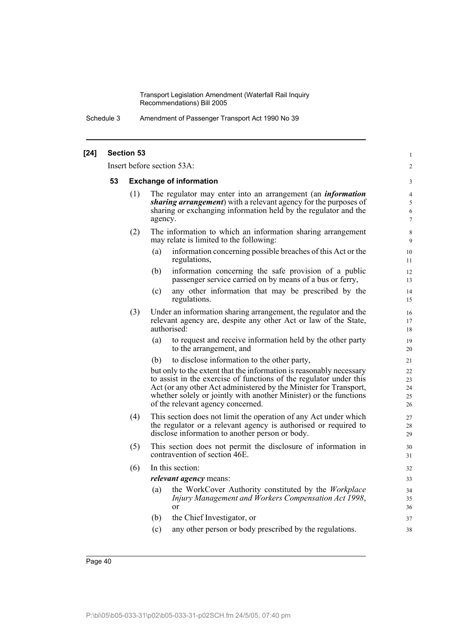Schedule 3 Amendment of Passenger Transport Act 1990 No 39

| $[24]$ |                            | <b>Section 53</b> |                                                                                                                                                                                                                                                                                                                          | $\mathbf{1}$               |
|--------|----------------------------|-------------------|--------------------------------------------------------------------------------------------------------------------------------------------------------------------------------------------------------------------------------------------------------------------------------------------------------------------------|----------------------------|
|        | Insert before section 53A: |                   |                                                                                                                                                                                                                                                                                                                          |                            |
|        | 53                         |                   | <b>Exchange of information</b>                                                                                                                                                                                                                                                                                           | 3                          |
|        |                            | (1)               | The regulator may enter into an arrangement (an <i>information</i><br><i>sharing arrangement</i> ) with a relevant agency for the purposes of<br>sharing or exchanging information held by the regulator and the<br>agency.                                                                                              | 4<br>5<br>6<br>7           |
|        |                            | (2)               | The information to which an information sharing arrangement<br>may relate is limited to the following:                                                                                                                                                                                                                   | $\,$ 8 $\,$<br>9           |
|        |                            |                   | (a)<br>information concerning possible breaches of this Act or the<br>regulations,                                                                                                                                                                                                                                       | 10<br>11                   |
|        |                            |                   | (b)<br>information concerning the safe provision of a public<br>passenger service carried on by means of a bus or ferry,                                                                                                                                                                                                 | 12<br>13                   |
|        |                            |                   | (c)<br>any other information that may be prescribed by the<br>regulations.                                                                                                                                                                                                                                               | 14<br>15                   |
|        |                            | (3)               | Under an information sharing arrangement, the regulator and the<br>relevant agency are, despite any other Act or law of the State,<br>authorised:                                                                                                                                                                        | 16<br>17<br>18             |
|        |                            |                   | to request and receive information held by the other party<br>(a)<br>to the arrangement, and                                                                                                                                                                                                                             | 19<br>20                   |
|        |                            |                   | (b)<br>to disclose information to the other party,                                                                                                                                                                                                                                                                       | 21                         |
|        |                            |                   | but only to the extent that the information is reasonably necessary<br>to assist in the exercise of functions of the regulator under this<br>Act (or any other Act administered by the Minister for Transport,<br>whether solely or jointly with another Minister) or the functions<br>of the relevant agency concerned. | 22<br>23<br>24<br>25<br>26 |
|        |                            | (4)               | This section does not limit the operation of any Act under which<br>the regulator or a relevant agency is authorised or required to<br>disclose information to another person or body.                                                                                                                                   | 27<br>28<br>29             |
|        |                            | (5)               | This section does not permit the disclosure of information in<br>contravention of section 46E.                                                                                                                                                                                                                           | 30<br>31                   |
|        |                            | (6)               | In this section:                                                                                                                                                                                                                                                                                                         | 32                         |
|        |                            |                   | <i>relevant agency</i> means:                                                                                                                                                                                                                                                                                            | 33                         |
|        |                            |                   | the WorkCover Authority constituted by the Workplace<br>(a)<br>Injury Management and Workers Compensation Act 1998,<br><b>or</b>                                                                                                                                                                                         | 34<br>35<br>36             |
|        |                            |                   | the Chief Investigator, or<br>(b)                                                                                                                                                                                                                                                                                        | 37                         |
|        |                            |                   | any other person or body prescribed by the regulations.<br>(c)                                                                                                                                                                                                                                                           | 38                         |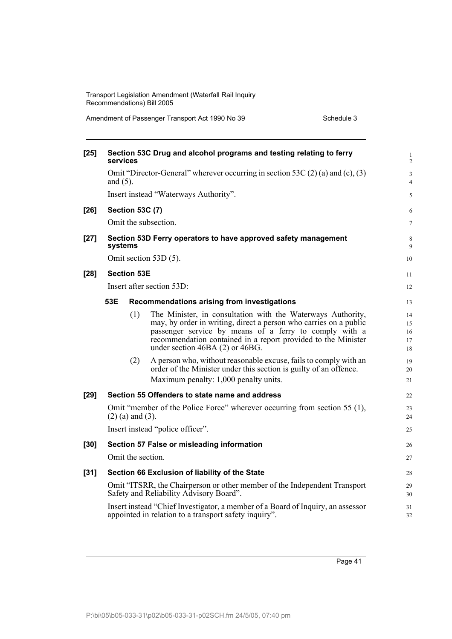Amendment of Passenger Transport Act 1990 No 39 Schedule 3

| $[25]$ | services                                                                                                             |                        | Section 53C Drug and alcohol programs and testing relating to ferry                                                                                                                                                                                                                            | $\mathbf{1}$<br>$\overline{2}$ |  |
|--------|----------------------------------------------------------------------------------------------------------------------|------------------------|------------------------------------------------------------------------------------------------------------------------------------------------------------------------------------------------------------------------------------------------------------------------------------------------|--------------------------------|--|
|        | and $(5)$ .                                                                                                          |                        | Omit "Director-General" wherever occurring in section 53C (2) (a) and (c), (3)                                                                                                                                                                                                                 | 3<br>$\overline{4}$            |  |
|        |                                                                                                                      |                        | Insert instead "Waterways Authority".                                                                                                                                                                                                                                                          | 5                              |  |
| $[26]$ |                                                                                                                      | <b>Section 53C (7)</b> |                                                                                                                                                                                                                                                                                                | 6                              |  |
|        |                                                                                                                      |                        | Omit the subsection.                                                                                                                                                                                                                                                                           | 7                              |  |
| $[27]$ | Section 53D Ferry operators to have approved safety management<br>systems                                            |                        |                                                                                                                                                                                                                                                                                                |                                |  |
|        |                                                                                                                      |                        | Omit section 53D (5).                                                                                                                                                                                                                                                                          | 10                             |  |
| $[28]$ |                                                                                                                      | <b>Section 53E</b>     |                                                                                                                                                                                                                                                                                                | 11                             |  |
|        | Insert after section 53D:                                                                                            |                        |                                                                                                                                                                                                                                                                                                |                                |  |
|        | 53E                                                                                                                  |                        | Recommendations arising from investigations                                                                                                                                                                                                                                                    | 13                             |  |
|        |                                                                                                                      | (1)                    | The Minister, in consultation with the Waterways Authority,<br>may, by order in writing, direct a person who carries on a public<br>passenger service by means of a ferry to comply with a<br>recommendation contained in a report provided to the Minister<br>under section 46BA (2) or 46BG. | 14<br>15<br>16<br>17<br>18     |  |
|        |                                                                                                                      | (2)                    | A person who, without reasonable excuse, fails to comply with an<br>order of the Minister under this section is guilty of an offence.<br>Maximum penalty: 1,000 penalty units.                                                                                                                 | 19<br>20<br>21                 |  |
| $[29]$ | Section 55 Offenders to state name and address                                                                       |                        |                                                                                                                                                                                                                                                                                                |                                |  |
|        | Omit "member of the Police Force" wherever occurring from section 55 (1),<br>$(2)$ (a) and (3).                      |                        |                                                                                                                                                                                                                                                                                                |                                |  |
|        | Insert instead "police officer".                                                                                     |                        |                                                                                                                                                                                                                                                                                                |                                |  |
| $[30]$ | Section 57 False or misleading information                                                                           |                        |                                                                                                                                                                                                                                                                                                |                                |  |
|        | Omit the section.                                                                                                    |                        |                                                                                                                                                                                                                                                                                                |                                |  |
| $[31]$ | Section 66 Exclusion of liability of the State                                                                       |                        |                                                                                                                                                                                                                                                                                                |                                |  |
|        | Omit "ITSRR, the Chairperson or other member of the Independent Transport<br>Safety and Reliability Advisory Board". |                        |                                                                                                                                                                                                                                                                                                | 29<br>30                       |  |
|        |                                                                                                                      |                        | Insert instead "Chief Investigator, a member of a Board of Inquiry, an assessor<br>appointed in relation to a transport safety inquiry".                                                                                                                                                       | 31<br>32                       |  |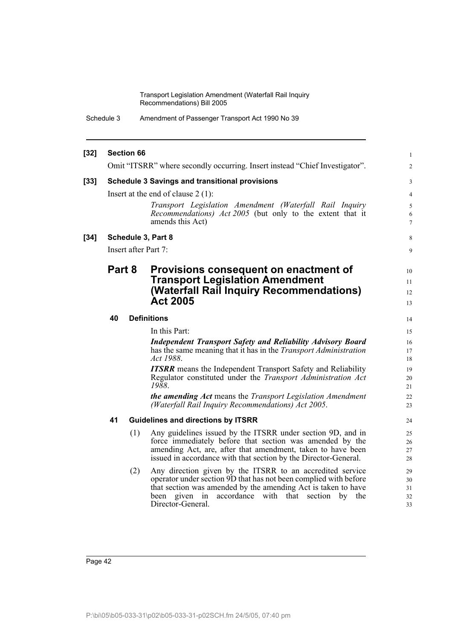Schedule 3 Amendment of Passenger Transport Act 1990 No 39

| $[32]$ |        | <b>Section 66</b> |                                                                                                                                                            | $\mathbf{1}$                 |
|--------|--------|-------------------|------------------------------------------------------------------------------------------------------------------------------------------------------------|------------------------------|
|        |        |                   | Omit "ITSRR" where secondly occurring. Insert instead "Chief Investigator".                                                                                | 2                            |
| $[33]$ |        |                   | <b>Schedule 3 Savings and transitional provisions</b>                                                                                                      | 3                            |
|        |        |                   | Insert at the end of clause $2(1)$ :                                                                                                                       | 4                            |
|        |        |                   | Transport Legislation Amendment (Waterfall Rail Inquiry                                                                                                    | $\sqrt{5}$                   |
|        |        |                   | Recommendations) Act 2005 (but only to the extent that it<br>amends this Act)                                                                              | $\sqrt{6}$<br>$\overline{7}$ |
| $[34]$ |        |                   | Schedule 3, Part 8                                                                                                                                         | 8                            |
|        |        |                   | Insert after Part 7:                                                                                                                                       | 9                            |
|        | Part 8 |                   | Provisions consequent on enactment of                                                                                                                      | 10                           |
|        |        |                   | <b>Transport Legislation Amendment</b>                                                                                                                     | 11                           |
|        |        |                   | (Waterfall Rail Inquiry Recommendations)                                                                                                                   | 12                           |
|        |        |                   | <b>Act 2005</b>                                                                                                                                            | 13                           |
|        | 40     |                   | <b>Definitions</b>                                                                                                                                         | 14                           |
|        |        |                   | In this Part:                                                                                                                                              | 15                           |
|        |        |                   | <b>Independent Transport Safety and Reliability Advisory Board</b><br>has the same meaning that it has in the <i>Transport Administration</i><br>Act 1988. | 16<br>17<br>18               |
|        |        |                   | <b>ITSRR</b> means the Independent Transport Safety and Reliability                                                                                        | 19                           |
|        |        |                   | Regulator constituted under the Transport Administration Act                                                                                               | 20                           |
|        |        |                   | 1988.                                                                                                                                                      | 21                           |
|        |        |                   | <b>the amending Act</b> means the Transport Legislation Amendment<br>(Waterfall Rail Inquiry Recommendations) Act 2005.                                    | 22<br>23                     |
|        | 41     |                   | <b>Guidelines and directions by ITSRR</b>                                                                                                                  | 24                           |
|        |        | (1)               | Any guidelines issued by the ITSRR under section 9D, and in                                                                                                | 25                           |
|        |        |                   | force immediately before that section was amended by the                                                                                                   | 26                           |
|        |        |                   | amending Act, are, after that amendment, taken to have been<br>issued in accordance with that section by the Director-General.                             | 27<br>28                     |
|        |        | (2)               | Any direction given by the ITSRR to an accredited service                                                                                                  | 29                           |
|        |        |                   | operator under section 9D that has not been complied with before                                                                                           | 30                           |
|        |        |                   | that section was amended by the amending Act is taken to have<br>accordance with that section<br>given<br>the<br>been<br>1n<br>by                          | 31                           |
|        |        |                   | Director-General.                                                                                                                                          | 32<br>33                     |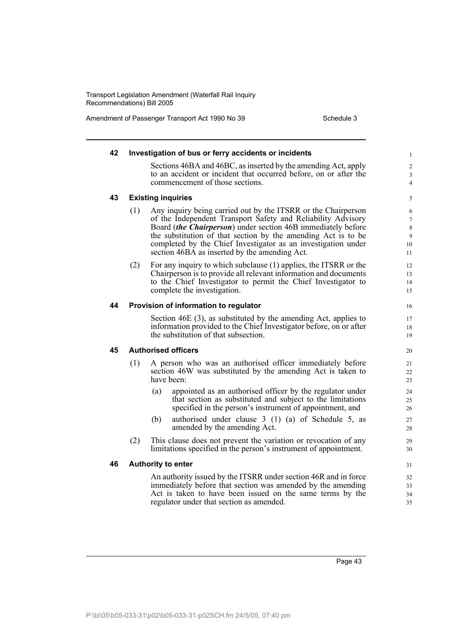Amendment of Passenger Transport Act 1990 No 39 Schedule 3

## **42 Investigation of bus or ferry accidents or incidents**

Sections 46BA and 46BC, as inserted by the amending Act, apply to an accident or incident that occurred before, on or after the commencement of those sections.

## **43 Existing inquiries**

- (1) Any inquiry being carried out by the ITSRR or the Chairperson of the Independent Transport Safety and Reliability Advisory Board (*the Chairperson*) under section 46B immediately before the substitution of that section by the amending Act is to be completed by the Chief Investigator as an investigation under section 46BA as inserted by the amending Act.
- (2) For any inquiry to which subclause (1) applies, the ITSRR or the Chairperson is to provide all relevant information and documents to the Chief Investigator to permit the Chief Investigator to complete the investigation.

## **44 Provision of information to regulator**

Section 46E (3), as substituted by the amending Act, applies to information provided to the Chief Investigator before, on or after the substitution of that subsection.

## **45 Authorised officers**

- (1) A person who was an authorised officer immediately before section 46W was substituted by the amending Act is taken to have been:
	- (a) appointed as an authorised officer by the regulator under that section as substituted and subject to the limitations specified in the person's instrument of appointment, and
	- (b) authorised under clause 3 (1) (a) of Schedule 5, as amended by the amending Act.
- (2) This clause does not prevent the variation or revocation of any limitations specified in the person's instrument of appointment.

### **46 Authority to enter**

An authority issued by the ITSRR under section 46R and in force immediately before that section was amended by the amending Act is taken to have been issued on the same terms by the regulator under that section as amended.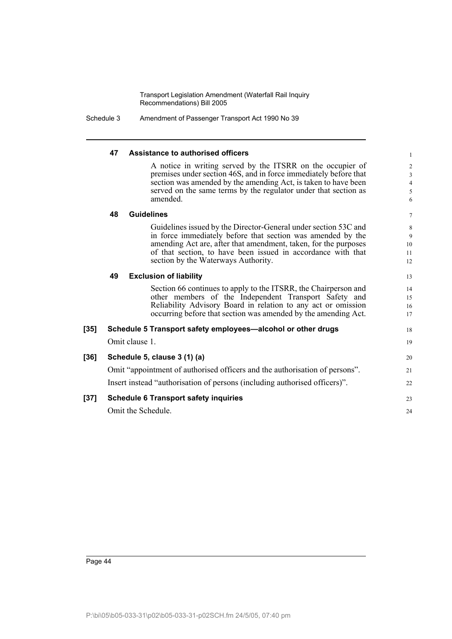Schedule 3 Amendment of Passenger Transport Act 1990 No 39

## **47 Assistance to authorised officers**

A notice in writing served by the ITSRR on the occupier of premises under section 46S, and in force immediately before that section was amended by the amending Act, is taken to have been served on the same terms by the regulator under that section as amended.

> 7 8

18 19

20 21 22

23 24

## **48 Guidelines**

Guidelines issued by the Director-General under section 53C and in force immediately before that section was amended by the amending Act are, after that amendment, taken, for the purposes of that section, to have been issued in accordance with that section by the Waterways Authority.

## **49 Exclusion of liability**

Section 66 continues to apply to the ITSRR, the Chairperson and other members of the Independent Transport Safety and Reliability Advisory Board in relation to any act or omission occurring before that section was amended by the amending Act.

| [35] | Schedule 5 Transport safety employees—alcohol or other drugs                |  |  |  |
|------|-----------------------------------------------------------------------------|--|--|--|
|      | Omit clause 1.                                                              |  |  |  |
| [36] | Schedule 5, clause 3 (1) (a)                                                |  |  |  |
|      | Omit "appointment of authorised officers and the authorisation of persons". |  |  |  |
|      | Insert instead "authorisation of persons (including authorised officers)".  |  |  |  |
| [37] | <b>Schedule 6 Transport safety inquiries</b>                                |  |  |  |

Omit the Schedule.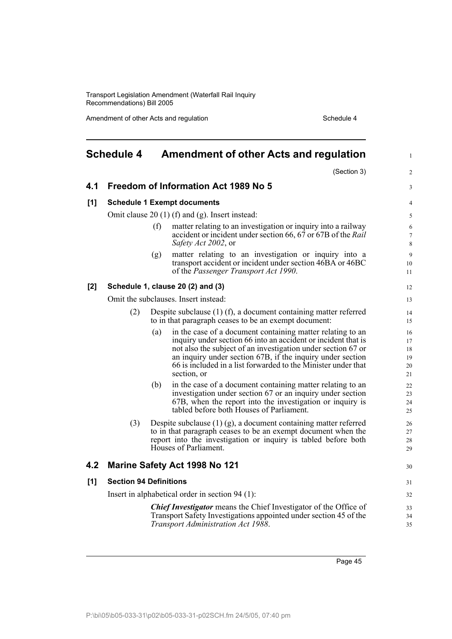Amendment of other Acts and regulation Schedule 4

<span id="page-54-0"></span>

| <b>Schedule 4</b> |                               |     | <b>Amendment of other Acts and regulation</b>                                                                                                                                                                                                                                                                                             | $\mathbf{1}$                     |
|-------------------|-------------------------------|-----|-------------------------------------------------------------------------------------------------------------------------------------------------------------------------------------------------------------------------------------------------------------------------------------------------------------------------------------------|----------------------------------|
|                   |                               |     | (Section 3)                                                                                                                                                                                                                                                                                                                               | $\overline{2}$                   |
| 4.1               |                               |     | Freedom of Information Act 1989 No 5                                                                                                                                                                                                                                                                                                      | 3                                |
| [1]               |                               |     | <b>Schedule 1 Exempt documents</b>                                                                                                                                                                                                                                                                                                        | 4                                |
|                   |                               |     | Omit clause 20 $(1)$ (f) and (g). Insert instead:                                                                                                                                                                                                                                                                                         | 5                                |
|                   |                               | (f) | matter relating to an investigation or inquiry into a railway<br>accident or incident under section 66, 67 or 67B of the Rail<br>Safety Act 2002, or                                                                                                                                                                                      | 6<br>7<br>8                      |
|                   |                               | (g) | matter relating to an investigation or inquiry into a<br>transport accident or incident under section 46BA or 46BC<br>of the Passenger Transport Act 1990.                                                                                                                                                                                | 9<br>10<br>11                    |
| [2]               |                               |     | Schedule 1, clause 20 (2) and (3)                                                                                                                                                                                                                                                                                                         | 12                               |
|                   |                               |     | Omit the subclauses. Insert instead:                                                                                                                                                                                                                                                                                                      | 13                               |
|                   | (2)                           |     | Despite subclause $(1)$ (f), a document containing matter referred<br>to in that paragraph ceases to be an exempt document:                                                                                                                                                                                                               | 14<br>15                         |
|                   |                               | (a) | in the case of a document containing matter relating to an<br>inquiry under section 66 into an accident or incident that is<br>not also the subject of an investigation under section 67 or<br>an inquiry under section 67B, if the inquiry under section<br>66 is included in a list forwarded to the Minister under that<br>section, or | 16<br>17<br>18<br>19<br>20<br>21 |
|                   |                               | (b) | in the case of a document containing matter relating to an<br>investigation under section 67 or an inquiry under section<br>67B, when the report into the investigation or inquiry is<br>tabled before both Houses of Parliament.                                                                                                         | 22<br>23<br>24<br>25             |
|                   | (3)                           |     | Despite subclause $(1)$ (g), a document containing matter referred<br>to in that paragraph ceases to be an exempt document when the<br>report into the investigation or inquiry is tabled before both<br>Houses of Parliament.                                                                                                            | 26<br>27<br>28<br>29             |
| 4.2               |                               |     | <b>Marine Safety Act 1998 No 121</b>                                                                                                                                                                                                                                                                                                      | 30                               |
| [1]               | <b>Section 94 Definitions</b> |     |                                                                                                                                                                                                                                                                                                                                           | 31                               |
|                   |                               |     | Insert in alphabetical order in section 94 (1):                                                                                                                                                                                                                                                                                           | 32                               |
|                   |                               |     | <b>Chief Investigator</b> means the Chief Investigator of the Office of<br>Transport Safety Investigations appointed under section 45 of the<br>Transport Administration Act 1988.                                                                                                                                                        | 33<br>34<br>35                   |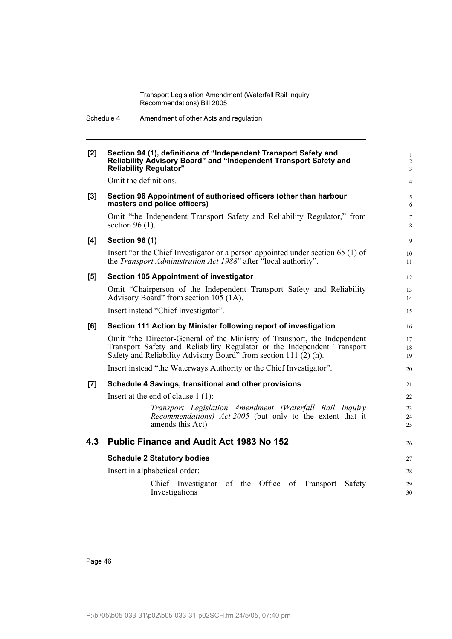| Schedule 4 | Amendment of other Acts and regulation |
|------------|----------------------------------------|
|------------|----------------------------------------|

| [2]   | Section 94 (1), definitions of "Independent Transport Safety and<br>Reliability Advisory Board" and "Independent Transport Safety and<br><b>Reliability Regulator"</b>                                                  | $\mathbf{1}$<br>$\overline{2}$<br>$\overline{3}$ |
|-------|-------------------------------------------------------------------------------------------------------------------------------------------------------------------------------------------------------------------------|--------------------------------------------------|
|       | Omit the definitions.                                                                                                                                                                                                   | 4                                                |
| $[3]$ | Section 96 Appointment of authorised officers (other than harbour<br>masters and police officers)                                                                                                                       | 5<br>6                                           |
|       | Omit "the Independent Transport Safety and Reliability Regulator," from<br>section $96(1)$ .                                                                                                                            | $\boldsymbol{7}$<br>8                            |
| [4]   | <b>Section 96 (1)</b>                                                                                                                                                                                                   | 9                                                |
|       | Insert "or the Chief Investigator or a person appointed under section 65 (1) of<br>the <i>Transport Administration Act 1988</i> " after "local authority".                                                              | 10<br>11                                         |
| [5]   | Section 105 Appointment of investigator                                                                                                                                                                                 | 12                                               |
|       | Omit "Chairperson of the Independent Transport Safety and Reliability<br>Advisory Board" from section 105 (1A).                                                                                                         | 13<br>14                                         |
|       | Insert instead "Chief Investigator".                                                                                                                                                                                    | 15                                               |
| [6]   | Section 111 Action by Minister following report of investigation                                                                                                                                                        | 16                                               |
|       | Omit "the Director-General of the Ministry of Transport, the Independent<br>Transport Safety and Reliability Regulator or the Independent Transport<br>Safety and Reliability Advisory Board" from section 111 (2) (h). | 17<br>18<br>19                                   |
|       | Insert instead "the Waterways Authority or the Chief Investigator".                                                                                                                                                     | 20                                               |
| $[7]$ | Schedule 4 Savings, transitional and other provisions                                                                                                                                                                   | 21                                               |
|       | Insert at the end of clause $1(1)$ :                                                                                                                                                                                    | 22                                               |
|       | Transport Legislation Amendment (Waterfall Rail Inquiry<br>Recommendations) Act 2005 (but only to the extent that it<br>amends this Act)                                                                                | 23<br>24<br>25                                   |
| 4.3   | <b>Public Finance and Audit Act 1983 No 152</b>                                                                                                                                                                         | 26                                               |
|       |                                                                                                                                                                                                                         |                                                  |
|       | <b>Schedule 2 Statutory bodies</b>                                                                                                                                                                                      | 27                                               |
|       | Insert in alphabetical order:                                                                                                                                                                                           | 28                                               |
|       | Chief Investigator of the<br>Office<br>of<br>Transport<br>Safety<br>Investigations                                                                                                                                      | 29<br>30                                         |